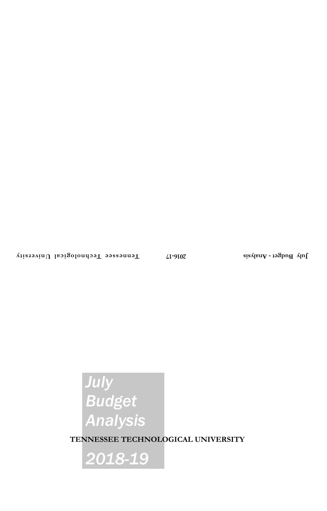# *July Budget Analysis*

**TENNESSEE TECHNOLOGICAL UNIVERSITY**

*2018-19*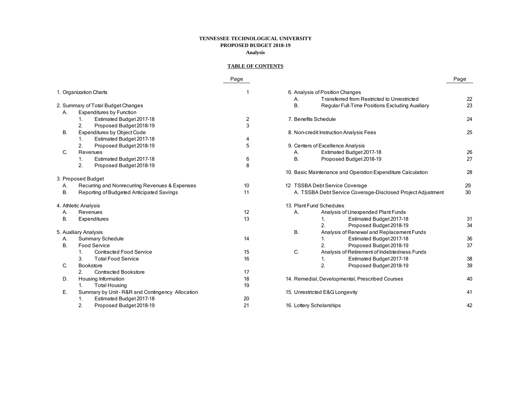## **TENNESSEE TECHNOLOGICAL UNIVERSITY PROPOSED BUDGET 2018-19 Analysis**

## **TABLE OF CONTENTS**

|    |                                                  | Page           |                                                             | Page |
|----|--------------------------------------------------|----------------|-------------------------------------------------------------|------|
|    | 1. Organization Charts                           |                | 6. Analysis of Position Changes                             |      |
|    |                                                  |                | Transferred from Restricted to Unrestricted<br>А.           | 22   |
|    | 2. Summary of Total Budget Changes               |                | Β.<br>Regular Full-Time Positions Excluding Auxiliary       | 23   |
| Α. | <b>Expenditures by Function</b>                  |                |                                                             |      |
|    | Estimated Budget 2017-18<br>1.                   | $\overline{c}$ | 7. Benefits Schedule                                        | 24   |
|    | $\overline{2}$ .<br>Proposed Budget 2018-19      | 3              |                                                             |      |
| В. | <b>Expenditures by Object Code</b>               |                | 8. Non-credit Instruction Analysis Fees                     | 25   |
|    | Estimated Budget 2017-18<br>1.                   | 4              |                                                             |      |
|    | 2.<br>Proposed Budget 2018-19                    | 5              | 9. Centers of Excellence Analysis                           |      |
| C. | Revenues                                         |                | Estimated Budget 2017-18<br>Α.                              | 26   |
|    | Estimated Budget 2017-18<br>1.                   | 6              | Β.<br>Proposed Budget 2018-19                               | 27   |
|    | 2.<br>Proposed Budget 2018-19                    | 8              |                                                             |      |
|    |                                                  |                | 10. Basic Maintenance and Operation Expenditure Calculation | 28   |
|    | 3. Proposed Budget                               |                |                                                             |      |
| Α. | Recurring and Nonrecurring Revenues & Expenses   | 10             | 12 TSSBA Debt Service Coverage                              | 29   |
| Β. | Reporting of Budgeted Anticipated Savings        | 11             | A. TSSBA Debt Service Coverage-Disclosed Project Adjustment | 30   |
|    | 4. Athletic Analysis                             |                | 13. Plant Fund Schedules                                    |      |
| Α. | Revenues                                         | 12             | Analysis of Unexpended Plant Funds<br>Α.                    |      |
| В. | Expenditures                                     | 13             | Estimated Budget 2017-18<br>1.                              | 31   |
|    |                                                  |                | 2.<br>Proposed Budget 2018-19                               | 34   |
|    | 5. Auxiliary Analysis                            |                | <b>B.</b><br>Analysis of Renewal and Replacement Funds      |      |
| Α. | Summary Schedule                                 | 14             | Estimated Budget 2017-18<br>1.                              | 36   |
| Β. | <b>Food Service</b>                              |                | 2.<br>Proposed Budget 2018-19                               | 37   |
|    | <b>Contracted Food Service</b><br>1.             | 15             | C.<br>Analysis of Retirement of Indebtedness Funds          |      |
|    | 3.<br><b>Total Food Service</b>                  | 16             | Estimated Budget 2017-18<br>1.                              | 38   |
| C. | Bookstore                                        |                | $\overline{2}$ .<br>Proposed Budget 2018-19                 | 39   |
|    | <b>Contracted Bookstore</b><br>2.                | 17             |                                                             |      |
| D. | Housing Information                              | 18             | 14. Remedial, Developmental, Prescribed Courses             | 40   |
|    | 1.<br><b>Total Housing</b>                       | 19             |                                                             |      |
| Е. | Summary by Unit - R&R and Contingency Allocation |                | 15. Unrestricted E&G Longevity                              | 41   |
|    | Estimated Budget 2017-18<br>1.                   | 20             |                                                             |      |
|    | 2.<br>Proposed Budget 2018-19                    | 21             | 16. Lottery Scholarships                                    | 42   |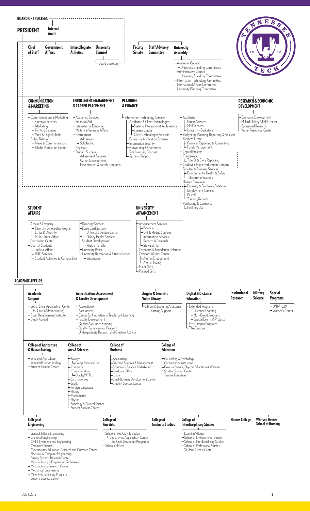

# ACADEMIC AFFAIRS

| <b>Academic</b><br><b>Support</b>                                                                                         | <b>Accreditation. Assessment</b><br>& Faculty Development                                                              |                                                                                                                     | Angelo & Jennette<br><b>Volpe Library</b>                                                            | <b>Digital &amp; Distance</b><br>Education                                                                                             | <b>Institutional</b><br><b>Research</b> | <b>Military</b><br><b>Science</b> | <b>Special</b><br><b>Programs</b> |
|---------------------------------------------------------------------------------------------------------------------------|------------------------------------------------------------------------------------------------------------------------|---------------------------------------------------------------------------------------------------------------------|------------------------------------------------------------------------------------------------------|----------------------------------------------------------------------------------------------------------------------------------------|-----------------------------------------|-----------------------------------|-----------------------------------|
| - Joe L. Evins Appalachian Center<br>for Craft (Administrative)<br>- Rural Development Institute<br><b>∟</b> Study Abroad | - Accreditation<br>⊢Assessment<br>– Faculty Development<br>-Quality Assurance Funding<br>- Quality Enhancement Program | - Center for Innovation in Teaching & Learning<br><b>∟Undergraduate Research and Creative Activity</b>              | ∟Library & Learning Assistance<br>└ Learning Support                                                 | Extended Programs<br>— Distance Learning<br>-Non-Credit Programs<br>└Special Events & Projects<br>le Off-Campus Programs<br>∟TNeCampus |                                         |                                   | -UNIV 1020<br>∟Women's Center     |
| <b>College of Agriculture</b><br>& Human Ecology                                                                          | <b>College of</b><br><b>Arts &amp; Sciences</b>                                                                        | <b>College of</b><br><b>Business</b>                                                                                | <b>College of</b><br><b>Education</b>                                                                |                                                                                                                                        |                                         |                                   |                                   |
| - School of Agriculture<br>- School of Human Ecology<br>L Student Success Center                                          | -Biology<br>LCo-op Fisheries Unit<br>- Chemistry<br>Communication<br>└Oracle/WTTU                                      | ⊢ Accounting<br>- Decision Sciences & Management<br>- Economics, Finance & Marketing<br>- Graduate Office<br>⊢iCube | Counseling & Psychology<br>Curriculum & Instruction<br>-Student Success Center<br>-Teacher Education | - Exercise Science, Physical Education & Wellness                                                                                      |                                         |                                   |                                   |

| <b>OPPIOIDING &amp; LATITLE SCIENCE</b><br>– Student Success Center                                                                                                                                                                                           |                                                                                                                       |                                              |                                                                                                                                                                            |                       |                                                   |
|---------------------------------------------------------------------------------------------------------------------------------------------------------------------------------------------------------------------------------------------------------------|-----------------------------------------------------------------------------------------------------------------------|----------------------------------------------|----------------------------------------------------------------------------------------------------------------------------------------------------------------------------|-----------------------|---------------------------------------------------|
| <b>College of</b><br><b>Engineering</b>                                                                                                                                                                                                                       | College of<br><b>Fine Arts</b>                                                                                        | <b>College of</b><br><b>Graduate Studies</b> | <b>College of</b><br><b>Interdisciplinary Studies</b>                                                                                                                      | <b>Honors College</b> | <b>Whitson-Hester</b><br><b>School of Nursing</b> |
| General & Basic Engineering<br>$\vdash$ Chemical Engineering<br>- Civil & Environmental Engineering<br>- Computer Science<br>- Cybersecurity Education, Research and Outreach Center<br>Electrical & Computer Engineering<br>- Energy Systems Research Center | School of Art, Craft & Design<br>LJoe L. Evins Appalachian Center<br>for Craft (Academic Programs)<br>School of Music |                                              | - Learning Villages<br>H School of Environmental Studies<br>├ School of Interdisciplinary Studies<br>School of Professional Studies<br><sup>L</sup> Student Success Center |                       |                                                   |

Small Business Development Center Small Business Develop.<br>Student Success Center

Manufacturing & Engineering Technology Manufacturing Research Center Mechanical Engineering Minority Engineering Programs Student Success Center

Earth Sciences English Foreign Languages **History** nustory<br>- Mathematics — Mathema<br>— Physics<br>— Sociology

Sociology & Political Science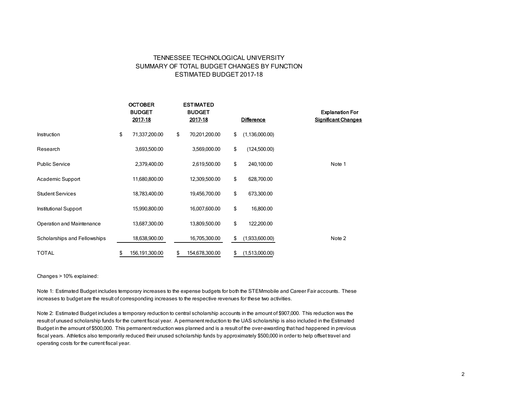## TENNESSEE TECHNOLOGICAL UNIVERSITY SUMMARY OF TOTAL BUDGET CHANGES BY FUNCTION ESTIMATED BUDGET 2017-18

|                              | <b>OCTOBER</b><br><b>BUDGET</b><br>2017-18 | <b>ESTIMATED</b><br><b>BUDGET</b><br>2017-18 | <b>Difference</b>      | <b>Explanation For</b><br><b>Significant Changes</b> |
|------------------------------|--------------------------------------------|----------------------------------------------|------------------------|------------------------------------------------------|
| Instruction                  | \$<br>71,337,200.00                        | \$<br>70,201,200.00                          | \$<br>(1, 136, 000.00) |                                                      |
| Research                     | 3,693,500.00                               | 3,569,000.00                                 | \$<br>(124,500.00)     |                                                      |
| <b>Public Service</b>        | 2,379,400.00                               | 2,619,500.00                                 | \$<br>240,100.00       | Note 1                                               |
| Academic Support             | 11,680,800.00                              | 12,309,500.00                                | \$<br>628,700.00       |                                                      |
| <b>Student Services</b>      | 18,783,400.00                              | 19,456,700.00                                | \$<br>673,300.00       |                                                      |
| Institutional Support        | 15,990,800.00                              | 16,007,600.00                                | \$<br>16,800.00        |                                                      |
| Operation and Maintenance    | 13,687,300.00                              | 13,809,500.00                                | \$<br>122,200.00       |                                                      |
| Scholarships and Fellowships | 18,638,900.00                              | 16,705,300.00                                | \$<br>(1,933,600.00)   | Note 2                                               |
| <b>TOTAL</b>                 | \$<br>156,191,300.00                       | \$<br>154,678,300.00                         | \$<br>(1,513,000.00)   |                                                      |

#### Changes > 10% explained:

Note 1: Estimated Budget includes temporary increases to the expense budgets for both the STEMmobile and Career Fair accounts. These increases to budget are the result of corresponding increases to the respective revenues for these two activities.

Note 2: Estimated Budget includes a temporary reduction to central scholarship accounts in the amount of \$907,000. This reduction was the result of unused scholarship funds for the current fiscal year. A permanent reduction to the UAS scholarship is also included in the Estimated Budget in the amount of \$500,000. This permanent reduction was planned and is a result of the over-awarding that had happened in previous fiscal years. Athletics also temporarily reduced their unused scholarship funds by approximately \$500,000 in order to help offset travel and operating costs for the current fiscal year.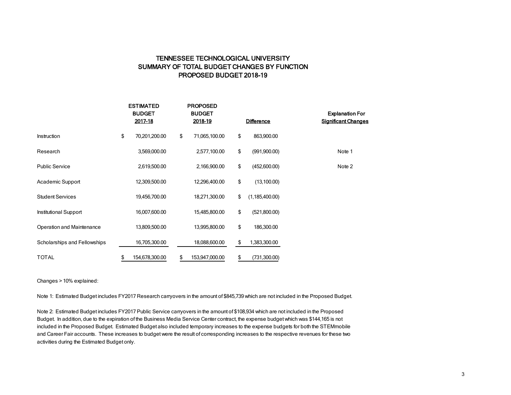## TENNESSEE TECHNOLOGICAL UNIVERSITY SUMMARY OF TOTAL BUDGET CHANGES BY FUNCTION PROPOSED BUDGET 2018-19

|                              | <b>ESTIMATED</b><br><b>BUDGET</b><br>2017-18 | <b>PROPOSED</b><br><b>BUDGET</b><br>2018-19 | <b>Difference</b>      | <b>Explanation For</b><br><b>Significant Changes</b> |
|------------------------------|----------------------------------------------|---------------------------------------------|------------------------|------------------------------------------------------|
| Instruction                  | \$<br>70,201,200.00                          | \$<br>71,065,100.00                         | \$<br>863,900.00       |                                                      |
| Research                     | 3,569,000.00                                 | 2,577,100.00                                | \$<br>(991,900.00)     | Note 1                                               |
| <b>Public Service</b>        | 2,619,500.00                                 | 2,166,900.00                                | \$<br>(452,600.00)     | Note 2                                               |
| Academic Support             | 12,309,500.00                                | 12,296,400.00                               | \$<br>(13,100.00)      |                                                      |
| <b>Student Services</b>      | 19,456,700.00                                | 18,271,300.00                               | \$<br>(1, 185, 400.00) |                                                      |
| Institutional Support        | 16,007,600.00                                | 15,485,800.00                               | \$<br>(521,800.00)     |                                                      |
| Operation and Maintenance    | 13,809,500.00                                | 13,995,800.00                               | \$<br>186,300.00       |                                                      |
| Scholarships and Fellowships | 16,705,300.00                                | 18,088,600.00                               | \$<br>1,383,300.00     |                                                      |
| <b>TOTAL</b>                 | \$<br>154,678,300.00                         | \$<br>153,947,000.00                        | \$<br>(731,300.00)     |                                                      |

#### Changes > 10% explained:

Note 1: Estimated Budget includes FY2017 Research carryovers in the amount of \$845,739 which are not included in the Proposed Budget.

Note 2: Estimated Budget includes FY2017 Public Service carryovers in the amount of \$108,934 which are not included in the Proposed Budget. In addition, due to the expiration of the Business Media Service Center contract, the expense budget which was \$144,165 is not included in the Proposed Budget. Estimated Budget also included temporary increases to the expense budgets for both the STEMmobile and Career Fair accounts. These increases to budget were the result of corresponding increases to the respective revenues for these two activities during the Estimated Budget only.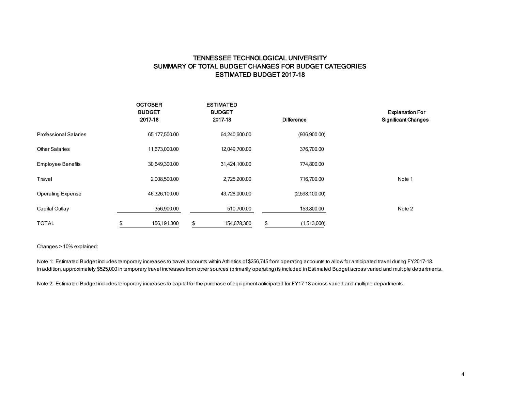## TENNESSEE TECHNOLOGICAL UNIVERSITY SUMMARY OF TOTAL BUDGET CHANGES FOR BUDGET CATEGORIES ESTIMATED BUDGET 2017-18

|                              | <b>OCTOBER</b><br><b>BUDGET</b><br>2017-18 | <b>ESTIMATED</b><br><b>BUDGET</b><br>2017-18 | <b>Difference</b> | <b>Explanation For</b><br><b>Significant Changes</b> |
|------------------------------|--------------------------------------------|----------------------------------------------|-------------------|------------------------------------------------------|
| <b>Professional Salaries</b> | 65,177,500.00                              | 64,240,600.00                                | (936,900.00)      |                                                      |
| <b>Other Salaries</b>        | 11,673,000.00                              | 12,049,700.00                                | 376,700.00        |                                                      |
| <b>Employee Benefits</b>     | 30,649,300.00                              | 31,424,100.00                                | 774,800.00        |                                                      |
| Travel                       | 2,008,500.00                               | 2,725,200.00                                 | 716,700.00        | Note 1                                               |
| <b>Operating Expense</b>     | 46,326,100.00                              | 43,728,000.00                                | (2,598,100.00)    |                                                      |
| Capital Outlay               | 356,900.00                                 | 510,700.00                                   | 153,800.00        | Note 2                                               |
| <b>TOTAL</b>                 | 156,191,300<br>\$                          | \$<br>154,678,300                            | \$<br>(1,513,000) |                                                      |

Changes > 10% explained:

Note 1: Estimated Budget includes temporary increases to travel accounts within Athletics of \$256,745 from operating accounts to allow for anticipated travel during FY2017-18. In addition, approximately \$525,000 in temporary travel increases from other sources (primarily operating) is included in Estimated Budget across varied and multiple departments.

Note 2: Estimated Budget includes temporary increases to capital for the purchase of equipment anticipated for FY17-18 across varied and multiple departments.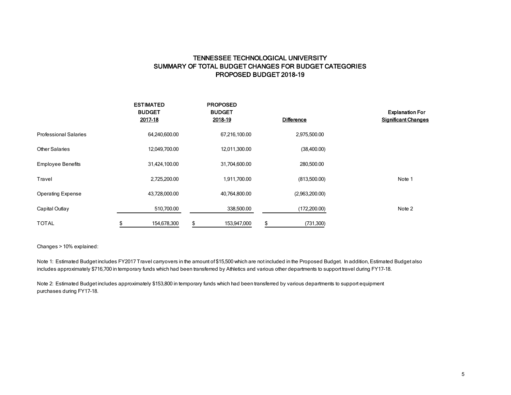## TENNESSEE TECHNOLOGICAL UNIVERSITY SUMMARY OF TOTAL BUDGET CHANGES FOR BUDGET CATEGORIES PROPOSED BUDGET 2018-19

|                              | <b>ESTIMATED</b><br><b>BUDGET</b><br>2017-18 | <b>PROPOSED</b><br><b>BUDGET</b><br>2018-19 | <b>Difference</b> | <b>Explanation For</b><br><b>Significant Changes</b> |
|------------------------------|----------------------------------------------|---------------------------------------------|-------------------|------------------------------------------------------|
| <b>Professional Salaries</b> | 64,240,600.00                                | 67,216,100.00                               | 2,975,500.00      |                                                      |
| Other Salaries               | 12,049,700.00                                | 12,011,300.00                               | (38,400.00)       |                                                      |
| <b>Employee Benefits</b>     | 31,424,100.00                                | 31,704,600.00                               | 280,500.00        |                                                      |
| Travel                       | 2,725,200.00                                 | 1,911,700.00                                | (813,500.00)      | Note 1                                               |
| <b>Operating Expense</b>     | 43,728,000.00                                | 40,764,800.00                               | (2,963,200.00)    |                                                      |
| Capital Outlay               | 510,700.00                                   | 338,500.00                                  | (172,200.00)      | Note 2                                               |
| <b>TOTAL</b>                 | 154,678,300<br>S.                            | \$<br>153,947,000                           | (731, 300)<br>\$  |                                                      |

Changes > 10% explained:

Note 1: Estimated Budget includes FY2017 Travel carryovers in the amount of \$15,500 which are not included in the Proposed Budget. In addition, Estimated Budget also includes approximately \$716,700 in temporary funds which had been transferred by Athletics and various other departments to support travel during FY17-18.

Note 2: Estimated Budget includes approximately \$153,800 in temporary funds which had been transferred by various departments to support equipment purchases during FY17-18.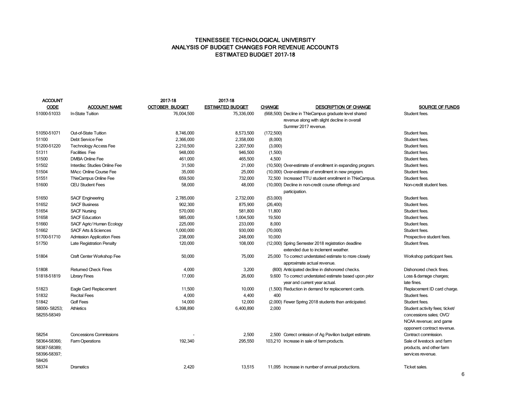## TENNESSEE TECHNOLOGICAL UNIVERSITY ANALYSIS OF BUDGET CHANGES FOR REVENUE ACCOUNTS ESTIMATED BUDGET 2017-18

| ACCOUNT      |                                   | 2017-18               | 2017-18                 |               |                                                                                           |                                       |
|--------------|-----------------------------------|-----------------------|-------------------------|---------------|-------------------------------------------------------------------------------------------|---------------------------------------|
| <b>CODE</b>  | <b>ACCOUNT NAME</b>               | <b>OCTOBER BUDGET</b> | <b>ESTIMATED BUDGET</b> | <b>CHANGE</b> | <b>DESCRIPTION OF CHANGE</b>                                                              | SOURCE OF FUNDS                       |
| 51000-51033  | In-State Tuition                  | 76,004,500            | 75,336,000              |               | (668,500) Decline in TNeCampus graduate level shared                                      | Student fees.                         |
|              |                                   |                       |                         |               | revenue along with slight decline in overall                                              |                                       |
|              |                                   |                       |                         |               | Summer 2017 revenue.                                                                      |                                       |
| 51050-51071  | Out-of-State Tuition              | 8,746,000             | 8,573,500               | (172,500)     |                                                                                           | Student fees.                         |
| 51100        | Debt Service Fee                  | 2,366,000             | 2,358,000               | (8,000)       |                                                                                           | Student fees.                         |
| 51200-51220  | <b>Technology Access Fee</b>      | 2,210,500             | 2,207,500               | (3,000)       |                                                                                           | Student fees.                         |
| 51311        | <b>Facilities Fee</b>             | 948,000               | 946,500                 | (1,500)       |                                                                                           | Student fees.                         |
| 51500        | <b>DMBA Online Fee</b>            | 461,000               | 465,500                 | 4,500         |                                                                                           | Student fees.                         |
| 51502        | Interdisc Studies Online Fee      | 31,500                | 21,000                  |               | (10,500) Over-estimate of enrollment in expanding program.                                | Student fees.                         |
| 51504        | MAcc Online Course Fee            | 35,000                | 25,000                  |               | (10,000) Over-estimate of enrollment in new program.                                      | Student fees.                         |
| 51551        | <b>TNeCampus Online Fee</b>       | 659,500               | 732,000                 |               | 72,500 Increased TTU student enrollment in TNeCampus.                                     | Student fees.                         |
| 51600        | <b>CEU Student Fees</b>           | 58,000                | 48,000                  |               | (10,000) Decline in non-credit course offerings and<br>participation.                     | Non-credit student fees.              |
| 51650        | <b>SACF Engineering</b>           | 2,785,000             | 2,732,000               | (53,000)      |                                                                                           | Student fees.                         |
| 51652        | <b>SACF Business</b>              | 902,300               | 875,900                 | (26, 400)     |                                                                                           | Student fees.                         |
| 51654        | <b>SACF Nursing</b>               | 570,000               | 581,800                 | 11,800        |                                                                                           | Student fees.                         |
| 51658        | <b>SACF Education</b>             | 985,000               | 1,004,500               | 19,500        |                                                                                           | Student fees.                         |
| 51660        | SACF Agric/Human Ecology          | 225,000               | 233,000                 | 8,000         |                                                                                           | Student fees.                         |
| 51662        | <b>SACF Arts &amp; Sciences</b>   | 1,000,000             | 930,000                 | (70,000)      |                                                                                           | Student fees.                         |
| 51700-51710  | <b>Admission Application Fees</b> | 238,000               | 248,000                 | 10,000        |                                                                                           | Prospective student fees.             |
| 51750        | Late Registration Penalty         | 120,000               | 108,000                 |               | (12,000) Spring Semester 2018 registration deadline<br>extended due to inclement weather. | Student fines.                        |
| 51804        | Craft Center Workshop Fee         | 50,000                | 75,000                  |               | 25,000 To correct understated estimate to more closely<br>approximate actual revenue.     | Workshop participant fees.            |
| 51808        | <b>Retumed Check Fines</b>        | 4,000                 | 3,200                   |               | (800) Anticipated decline in dishonored checks.                                           | Dishonored check fines.               |
| 51818-51819  | <b>Library Fines</b>              | 17,000                | 26,600                  |               | 9,600 To correct understated estimate based upon prior<br>year and current year actual.   | Loss & damage charges;<br>late fines. |
| 51823        | Eagle Card Replacement            | 11,500                | 10,000                  |               | (1,500) Reduction in demand for replacement cards.                                        | Replacement ID card charge.           |
| 51832        | <b>Recital Fees</b>               | 4,000                 | 4,400                   | 400           |                                                                                           | Student fees.                         |
| 51842        | <b>Golf Fees</b>                  | 14,000                | 12,000                  |               | (2,000) Fewer Spring 2018 students than anticipated.                                      | Student fees.                         |
| 58000-58253; | <b>Athletics</b>                  | 6,398,890             | 6,400,890               | 2,000         |                                                                                           | Student activity fees; ticket/        |
| 58255-58349  |                                   |                       |                         |               |                                                                                           | concessions sales; OVC/               |
|              |                                   |                       |                         |               |                                                                                           | NCAA revenue; and game                |
|              |                                   |                       |                         |               |                                                                                           | opponent contract revenue.            |
| 58254        | <b>Concessions Commissions</b>    |                       | 2,500                   |               | 2,500 Correct omission of Ag Pavilion budget estimate.                                    | Contract commission.                  |
| 58364-58366; | <b>Farm Operations</b>            | 192,340               | 295,550                 |               | 103,210 Increase in sale of farm products.                                                | Sale of livestock and farm            |
| 58387-58389; |                                   |                       |                         |               |                                                                                           | products, and other farm              |
| 58396-58397; |                                   |                       |                         |               |                                                                                           | services revenue.                     |
| 58426        |                                   |                       |                         |               |                                                                                           |                                       |
| 58374        | Dramatics                         | 2,420                 | 13,515                  |               | 11,095 Increase in number of annual productions.                                          | Ticket sales.                         |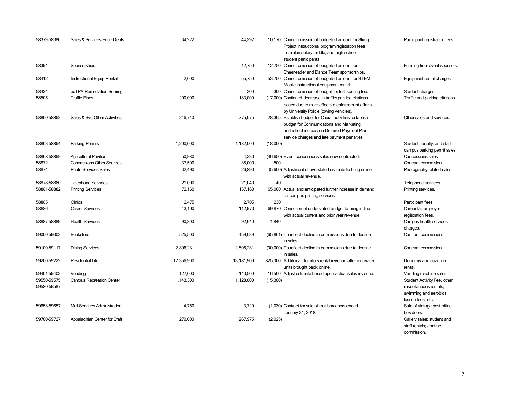| 58379-58380                 | Sales & Services-Educ Depts      | 34,222     | 44,392     | 10,170 Correct omission of budgeted amount for String<br>Project instructional program registration fees<br>from elementary middle, and high school<br>student participants.                         | Participant registration fees.                                                                      |
|-----------------------------|----------------------------------|------------|------------|------------------------------------------------------------------------------------------------------------------------------------------------------------------------------------------------------|-----------------------------------------------------------------------------------------------------|
| 58394                       | Sponsorships                     |            | 12,750     | 12,750 Correct omission of budgeted amount for<br>Cheerleader and Dance Team sponsorships.                                                                                                           | Funding from event sponsors.                                                                        |
| 58412                       | Instructional Equip Rental       | 2,000      | 55,750     | 53,750 Correct omission of budgeted amount for STEM<br>Mobile instructional equipment rental.                                                                                                        | Equipment rental charges.                                                                           |
| 58424                       | edTPA Remediation Scoring        |            | 300        | 300 Correct omission of budget for test scoring fee.                                                                                                                                                 | Student charges.                                                                                    |
| 58505                       | <b>Traffic Fines</b>             | 200,000    | 183,000    | (17,000) Continued decrease in traffic/ parking citations<br>issued due to more effective enforcement efforts<br>by University Police (towing vehicles).                                             | Traffic and parking citations.                                                                      |
| 58860-58862                 | Sales & Svc Other Activities     | 246,710    | 275,075    | 28,365 Establish budget for Choral activities; establish<br>budget for Communications and Marketing;<br>and reflect increase in Deferred Payment Plan<br>service charges and late payment penalties. | Other sales and services.                                                                           |
| 58863-58864                 | <b>Parking Permits</b>           | 1,200,000  | 1,182,000  | (18,000)                                                                                                                                                                                             | Student, faculty, and staff<br>campus parking permit sales.                                         |
| 58868-58869                 | <b>Agricultural Pavilion</b>     | 50,980     | 4,330      | (46,650) Event concessions sales now contracted.                                                                                                                                                     | Concessions sales.                                                                                  |
| 58872                       | <b>Commissions Other Sources</b> | 37,500     | 38,000     | 500                                                                                                                                                                                                  | Contract commission.                                                                                |
| 58874                       | Photo Services Sales             | 32,490     | 26,890     | (5,600) Adjustment of overstated estimate to bring in line<br>with actual revenue.                                                                                                                   | Photography related sales.                                                                          |
| 58878-58880                 | <b>Telephone Services</b>        | 21,000     | 21,040     | 40                                                                                                                                                                                                   | Telephone services.                                                                                 |
| 58881-58882                 | <b>Printing Services</b>         | 72,160     | 137,160    | 65,000 Actual and anticipated further increase in demand<br>for campus printing services.                                                                                                            | Printing services.                                                                                  |
| 58885                       | Clinics                          | 2,475      | 2,705      | 230                                                                                                                                                                                                  | Participant fees.                                                                                   |
| 58886                       | <b>Career Services</b>           | 43,100     | 112,970    | 69,870 Correction of understated budget to bring in line<br>with actual current and prior year revenue.                                                                                              | Career fair employer<br>registration fees.                                                          |
| 58887-58889                 | <b>Health Services</b>           | 90,800     | 92,640     | 1,840                                                                                                                                                                                                | Campus health services<br>charges.                                                                  |
| 59000-59002                 | <b>Bookstore</b>                 | 525,500    | 459,639    | (65,861) To reflect decline in commissions due to decline<br>in sales.                                                                                                                               | Contract commission.                                                                                |
| 59100-59117                 | <b>Dining Services</b>           | 2,896,231  | 2,806,231  | (90,000) To reflect decline in commissions due to decline<br>in sales.                                                                                                                               | Contract commission.                                                                                |
| 59200-59222                 | <b>Residential Life</b>          | 12,356,900 | 13,181,900 | 825,000 Additional domitory rental revenue after renovated<br>units brought back online.                                                                                                             | Dormitory and apartment<br>rental.                                                                  |
| 59401-59403                 | Vending                          | 127,000    | 143,500    | 16,500 Adjust estimate based upon actual sales revenue.                                                                                                                                              | Vending machine sales.                                                                              |
| 59550-59575;<br>59580-59587 | <b>Campus Recreation Center</b>  | 1,143,300  | 1,128,000  | (15,300)                                                                                                                                                                                             | Student Activity Fee, other<br>miscellaneous rentals,<br>swimming and aerobics<br>lesson fees, etc. |
| 59653-59657                 | Mail Services Administration     | 4,750      | 3,720      | (1,030) Contract for sale of mail box doors ended<br>January 31, 2018.                                                                                                                               | Sale of vintage post office<br>box doors.                                                           |
| 59700-59727                 | Appalachian Center for Craft     | 270,000    | 267,975    | (2,025)                                                                                                                                                                                              | Gallery sales; student and<br>staff rentals; contract                                               |

commission.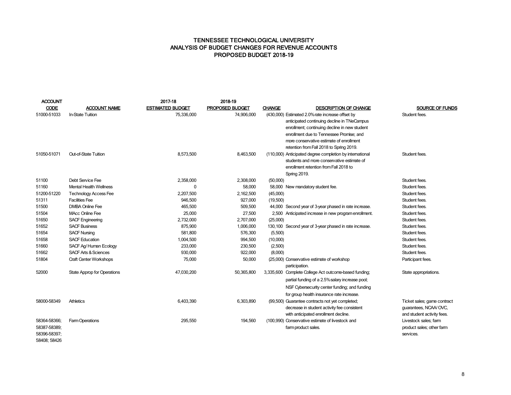## TENNESSEE TECHNOLOGICAL UNIVERSITY ANALYSIS OF BUDGET CHANGES FOR REVENUE ACCOUNTS PROPOSED BUDGET 2018-19

| <b>ACCOUNT</b> |                                    | 2017-18                 | 2018-19                |                                                              |                             |
|----------------|------------------------------------|-------------------------|------------------------|--------------------------------------------------------------|-----------------------------|
| <b>CODE</b>    | <b>ACCOUNT NAME</b>                | <b>ESTIMATED BUDGET</b> | <b>PROPOSED BUDGET</b> | <b>CHANGE</b><br><b>DESCRIPTION OF CHANGE</b>                | SOURCE OF FUNDS             |
| 51000-51033    | In-State Tuition                   | 75,336,000              | 74,906,000             | (430,000) Estimated 2.0% rate increase offset by             | Student fees.               |
|                |                                    |                         |                        | anticipated continuing decline in TNeCampus                  |                             |
|                |                                    |                         |                        | enrollment; continuing decline in new student                |                             |
|                |                                    |                         |                        | enrollment due to Tennessee Promise; and                     |                             |
|                |                                    |                         |                        | more conservative estimate of enrollment                     |                             |
|                |                                    |                         |                        | retention from Fall 2018 to Spring 2019.                     |                             |
| 51050-51071    | Out-of-State Tuition               | 8,573,500               | 8,463,500              | (110,000) Anticipated degree completion by international     | Student fees.               |
|                |                                    |                         |                        | students and more conservative estimate of                   |                             |
|                |                                    |                         |                        | enrollment retention from Fall 2018 to                       |                             |
|                |                                    |                         |                        | <b>Spring 2019.</b>                                          |                             |
| 51100          | Debt Service Fee                   | 2,358,000               | 2,308,000              | (50,000)                                                     | Student fees.               |
| 51160          | <b>Mental Health Wellness</b>      | 0                       | 58,000                 | 58,000 New mandatory student fee.                            | Student fees.               |
| 51200-51220    | <b>Technology Access Fee</b>       | 2,207,500               | 2,162,500              | (45,000)                                                     | Student fees.               |
| 51311          | <b>Facilities Fee</b>              | 946,500                 | 927,000                | (19,500)                                                     | Student fees.               |
| 51500          | <b>DMBA Online Fee</b>             | 465,500                 | 509,500                | 44,000 Second year of 3-year phased in rate increase.        | Student fees.               |
| 51504          | <b>MAcc Online Fee</b>             | 25,000                  | 27,500                 | 2,500 Anticipated increase in new program enrollment.        | Student fees.               |
| 51650          | <b>SACF Engineering</b>            | 2,732,000               | 2,707,000              | (25,000)                                                     | Student fees.               |
| 51652          | <b>SACF Business</b>               | 875,900                 | 1,006,000              | 130,100 Second year of 3-year phased in rate increase.       | Student fees.               |
| 51654          | <b>SACF Nursing</b>                | 581,800                 | 576,300                | (5,500)                                                      | Student fees.               |
| 51658          | <b>SACF Education</b>              | 1,004,500               | 994,500                | (10,000)                                                     | Student fees.               |
| 51660          | SACF Ag/Human Ecology              | 233,000                 | 230,500                | (2,500)                                                      | Student fees.               |
| 51662          | <b>SACF Arts &amp; Sciences</b>    | 930,000                 | 922,000                | (8,000)                                                      | Student fees.               |
| 51804          | <b>Craft Center Workshops</b>      | 75,000                  | 50,000                 | (25,000) Conservative estimate of workshop<br>participation. | Participant fees.           |
| 52000          | <b>State Approp for Operations</b> | 47,030,200              | 50,365,800             | 3,335,600 Complete College Act outcome-based funding;        | State appropriations.       |
|                |                                    |                         |                        | partial funding of a 2.5% salary increase pool;              |                             |
|                |                                    |                         |                        | NSF Cybersecurity center funding; and funding                |                             |
|                |                                    |                         |                        | for group health insurance rate increase.                    |                             |
| 58000-58349    | <b>Athletics</b>                   | 6,403,390               | 6,303,890              | (99,500) Guarantee contracts not yet completed;              | Ticket sales; game contract |
|                |                                    |                         |                        | decrease in student activity fee consistent                  | guarantees, NCAA/OVC,       |
|                |                                    |                         |                        | with anticipated enrollment decline.                         | and student activity fees.  |
| 58364-58366;   | Farm Operations                    | 295,550                 | 194,560                | (100,990) Conservative estimate of livestock and             | Livestock sales; farm       |
| 58387-58389;   |                                    |                         |                        | farm product sales.                                          | product sales; other farm   |
| 58396-58397;   |                                    |                         |                        |                                                              | services.                   |
| 58408: 58426   |                                    |                         |                        |                                                              |                             |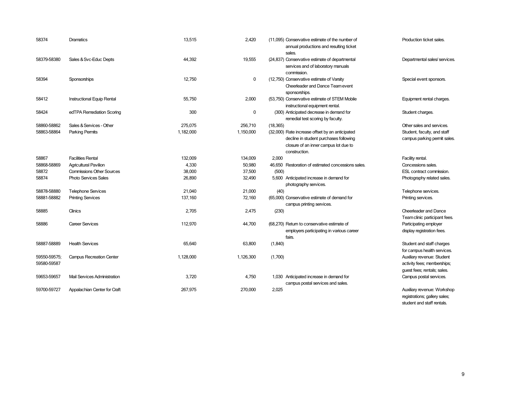| 58374        | Dramatics                           | 13,515    | 2,420     | (11,095) Conservative estimate of the number of<br>annual productions and resulting ticket<br>sales. | Production ticket sales.                                     |
|--------------|-------------------------------------|-----------|-----------|------------------------------------------------------------------------------------------------------|--------------------------------------------------------------|
| 58379-58380  | Sales & Svc-Educ Depts              | 44,392    | 19,555    | (24,837) Conservative estimate of departmental<br>services and of laboratory manuals<br>commission.  | Departmental sales/services.                                 |
| 58394        | Sponsorships                        | 12,750    | 0         | (12,750) Conservative estimate of Varsity<br>Cheerleader and Dance Team event<br>sponsorships.       | Special event sponsors.                                      |
| 58412        | Instructional Equip Rental          | 55,750    | 2,000     | (53,750) Conservative estimate of STEM Mobile<br>instructional equipment rental.                     | Equipment rental charges.                                    |
| 58424        | edTPA Remediation Scoring           | 300       | 0         | (300) Anticipated decrease in demand for<br>remedial test scoring by faculty.                        | Student charges.                                             |
| 58860-58862  | Sales & Services - Other            | 275.075   | 256,710   | (18, 365)                                                                                            | Other sales and services.                                    |
| 58863-58864  | <b>Parking Permits</b>              | 1,182,000 | 1,150,000 | (32,000) Rate increase offset by an anticipated                                                      | Student, faculty, and staff                                  |
|              |                                     |           |           | decline in student purchases following                                                               | campus parking permit sales.                                 |
|              |                                     |           |           | closure of an inner campus lot due to<br>construction.                                               |                                                              |
| 58867        | <b>Facilities Rental</b>            | 132,009   | 134,009   | 2.000                                                                                                | Facility rental.                                             |
| 58868-58869  | <b>Agricultural Pavilion</b>        | 4,330     | 50,980    | 46,650 Restoration of estimated concessions sales.                                                   | Concessions sales.                                           |
| 58872        | <b>Commissions Other Sources</b>    | 38,000    | 37,500    | (500)                                                                                                | ESL contract commission.                                     |
| 58874        | <b>Photo Services Sales</b>         | 26,890    | 32,490    | 5,600 Anticipated increase in demand for<br>photography services.                                    | Photography related sales.                                   |
| 58878-58880  | <b>Telephone Services</b>           | 21,040    | 21,000    | (40)                                                                                                 | Telephone services.                                          |
| 58881-58882  | <b>Printing Services</b>            | 137,160   | 72,160    | (65,000) Conservative estimate of demand for<br>campus printing services.                            | Printing services.                                           |
| 58885        | Clinics                             | 2,705     | 2,475     | (230)                                                                                                | Cheerleader and Dance<br>Team clinic participant fees.       |
| 58886        | Career Services                     | 112,970   | 44,700    | (68,270) Return to conservative estimate of                                                          | Participating employer                                       |
|              |                                     |           |           | employers participating in various career<br>fairs.                                                  | display registration fees.                                   |
| 58887-58889  | <b>Health Services</b>              | 65,640    | 63,800    | (1, 840)                                                                                             | Student and staff charges                                    |
|              |                                     |           |           |                                                                                                      | for campus health services.                                  |
| 59550-59575; | <b>Campus Recreation Center</b>     | 1,128,000 | 1,126,300 | (1,700)                                                                                              | Auxiliary revenue: Student                                   |
| 59580-59587  |                                     |           |           |                                                                                                      | activity fees; memberships;                                  |
|              |                                     |           |           |                                                                                                      | guest fees; rentals; sales.                                  |
| 59653-59657  | <b>Mail Services Administration</b> | 3,720     | 4,750     | 1,030 Anticipated increase in demand for                                                             | Campus postal services.                                      |
|              |                                     |           |           | campus postal services and sales.                                                                    |                                                              |
| 59700-59727  | Appalachian Center for Craft        | 267,975   | 270,000   | 2,025                                                                                                | Auxiliary revenue: Workshop<br>registrations; gallery sales; |

student and staff rentals.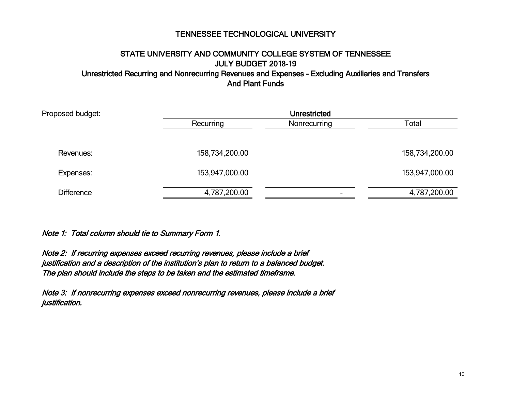# STATE UNIVERSITY AND COMMUNITY COLLEGE SYSTEM OF TENNESSEE JULY BUDGET 2018-19

Unrestricted Recurring and Nonrecurring Revenues and Expenses - Excluding Auxiliaries and Transfers And Plant Funds

| <b>Unrestricted</b> |                          |                |  |  |  |
|---------------------|--------------------------|----------------|--|--|--|
| Recurring           | Nonrecurring             | Total          |  |  |  |
|                     |                          |                |  |  |  |
| 158,734,200.00      |                          | 158,734,200.00 |  |  |  |
| 153,947,000.00      |                          | 153,947,000.00 |  |  |  |
| 4,787,200.00        | $\overline{\phantom{0}}$ | 4,787,200.00   |  |  |  |
|                     |                          |                |  |  |  |

Note 1: Total column should tie to Summary Form 1.

Note 2: If recurring expenses exceed recurring revenues, please include a brief justification and a description of the institution's plan to return to a balanced budget. The plan should include the steps to be taken and the estimated timeframe.

Note 3: If nonrecurring expenses exceed nonrecurring revenues, please include a brief justification.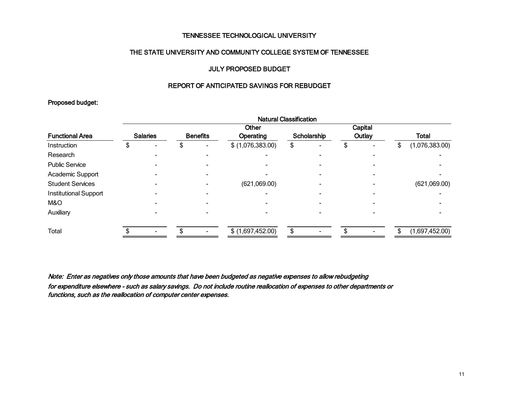## THE STATE UNIVERSITY AND COMMUNITY COLLEGE SYSTEM OF TENNESSEE

## JULY PROPOSED BUDGET

## REPORT OF ANTICIPATED SAVINGS FOR REBUDGET

## Proposed budget:

|                         | <b>Natural Classification</b> |  |                 |  |                   |             |  |        |         |              |                |
|-------------------------|-------------------------------|--|-----------------|--|-------------------|-------------|--|--------|---------|--------------|----------------|
|                         |                               |  |                 |  | Other             |             |  |        | Capital |              |                |
| <b>Functional Area</b>  | <b>Salaries</b>               |  | <b>Benefits</b> |  | Operating         | Scholarship |  | Outlay |         | <b>Total</b> |                |
| Instruction             | Æ                             |  |                 |  | \$ (1,076,383.00) | ъ.          |  |        |         | S            | (1,076,383.00) |
| Research                |                               |  |                 |  |                   |             |  |        |         |              |                |
| <b>Public Service</b>   |                               |  |                 |  |                   |             |  |        |         |              |                |
| Academic Support        |                               |  |                 |  |                   |             |  |        |         |              |                |
| <b>Student Services</b> |                               |  |                 |  | (621,069.00)      |             |  |        |         |              | (621,069.00)   |
| Institutional Support   |                               |  |                 |  |                   |             |  |        |         |              |                |
| M&O                     |                               |  |                 |  |                   |             |  |        |         |              |                |
| Auxiliary               |                               |  |                 |  |                   |             |  |        |         |              |                |
| <b>Total</b>            |                               |  |                 |  | \$ (1,697,452.00) |             |  |        |         |              | (1,697,452.00) |

Note: Enter as negatives only those amounts that have been budgeted as negative expenses to allow rebudgeting for expenditure elsewhere - such as salary savings. Do not include routine reallocation of expenses to other departments or functions, such as the reallocation of computer center expenses.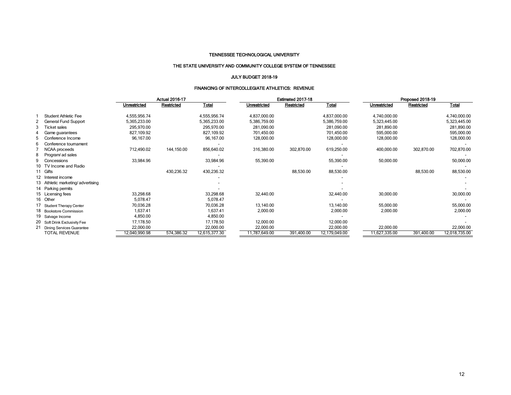## THE STATE UNIVERSITY AND COMMUNITY COLLEGE SYSTEM OF TENNESSEE

#### JULY BUDGET 2018-19

#### FINANCING OF INTERCOLLEGIATE ATHLETICS: REVENUE

| Restricted<br>Total<br>Restricted<br>Total<br>Unrestricted<br>Unrestricted<br>Unrestricted<br>Restricted<br>4,837,000.00<br>4,837,000.00<br><b>Student Athletic Fee</b><br>4,555,956.74<br>4,555,956.74<br>4,740,000.00<br>5,365,233.00<br>5,365,233.00<br>5,386,759.00<br>5,386,759.00<br><b>General Fund Support</b><br>5,323,445.00<br>281,090.00<br><b>Ticket sales</b><br>295,970.00<br>295,970.00<br>281,090.00<br>281,890.00<br>827,109.92<br>827,109.92<br>701,450.00<br>701,450.00<br>595,000.00<br>Game guarantees | <b>Total</b><br>4,740,000.00<br>5,323,445.00 |
|------------------------------------------------------------------------------------------------------------------------------------------------------------------------------------------------------------------------------------------------------------------------------------------------------------------------------------------------------------------------------------------------------------------------------------------------------------------------------------------------------------------------------|----------------------------------------------|
|                                                                                                                                                                                                                                                                                                                                                                                                                                                                                                                              |                                              |
|                                                                                                                                                                                                                                                                                                                                                                                                                                                                                                                              |                                              |
|                                                                                                                                                                                                                                                                                                                                                                                                                                                                                                                              |                                              |
|                                                                                                                                                                                                                                                                                                                                                                                                                                                                                                                              | 281,890.00                                   |
|                                                                                                                                                                                                                                                                                                                                                                                                                                                                                                                              | 595,000.00                                   |
| 96,167.00<br>96,167.00<br>128,000.00<br>128,000.00<br>128,000.00<br>5<br>Conference Income                                                                                                                                                                                                                                                                                                                                                                                                                                   | 128,000.00                                   |
| 6<br>Conference tournament                                                                                                                                                                                                                                                                                                                                                                                                                                                                                                   |                                              |
| 144,150.00<br>856,640.02<br>316,380.00<br>302,870.00<br>619,250.00<br>400,000.00<br>302,870.00<br>712,490.02<br>NCAA proceeds                                                                                                                                                                                                                                                                                                                                                                                                | 702,870.00                                   |
| 8<br>Program ad sales                                                                                                                                                                                                                                                                                                                                                                                                                                                                                                        |                                              |
| 33,984.96<br>50,000.00<br>9<br>33,984.96<br>55,390.00<br>55,390.00<br>Concessions                                                                                                                                                                                                                                                                                                                                                                                                                                            | 50,000.00                                    |
| 10 TV Income and Radio                                                                                                                                                                                                                                                                                                                                                                                                                                                                                                       |                                              |
| 430,236.32<br>430,236.32<br>88,530.00<br>88,530.00<br>88,530.00<br>11 Gifts                                                                                                                                                                                                                                                                                                                                                                                                                                                  | 88,530.00                                    |
| 12 Interest income                                                                                                                                                                                                                                                                                                                                                                                                                                                                                                           |                                              |
| 13 Athletic marketing/advertising                                                                                                                                                                                                                                                                                                                                                                                                                                                                                            |                                              |
| 14 Parking permits                                                                                                                                                                                                                                                                                                                                                                                                                                                                                                           |                                              |
| 33,298.68<br>33,298.68<br>30,000.00<br>32,440.00<br>32,440.00<br>15 Licensing fees                                                                                                                                                                                                                                                                                                                                                                                                                                           | 30,000.00                                    |
| 16 Other<br>5,078.47<br>5,078.47                                                                                                                                                                                                                                                                                                                                                                                                                                                                                             |                                              |
| 13,140.00<br>55,000.00<br>70,036.28<br>13,140.00<br>70,036.28<br>17 Student Therapy Center                                                                                                                                                                                                                                                                                                                                                                                                                                   | 55,000.00                                    |
| 1,637.41<br>1,637.41<br>2,000.00<br>2,000.00<br>2,000.00<br>18 Bookstore Commission                                                                                                                                                                                                                                                                                                                                                                                                                                          | 2,000.00                                     |
| 4,850.00<br>4,850.00<br>19 Salvage Income                                                                                                                                                                                                                                                                                                                                                                                                                                                                                    |                                              |
| 12,000.00<br>17,178.50<br>17,178.50<br>12,000.00<br>20 Soft Drink Exclusivity Fee                                                                                                                                                                                                                                                                                                                                                                                                                                            |                                              |
| 22,000.00<br>22,000.00<br>22,000.00<br>22,000.00<br>22,000.00<br>21 Dining Services Guarantee                                                                                                                                                                                                                                                                                                                                                                                                                                | 22,000.00                                    |
| <b>TOTAL REVENUE</b><br>574,386.32<br>391,400.00<br>12,179,049.00<br>12,040,990.98<br>12,615,377.30<br>1,787,649.00<br>11,627,335.00<br>391,400.00                                                                                                                                                                                                                                                                                                                                                                           | 12,018,735.00                                |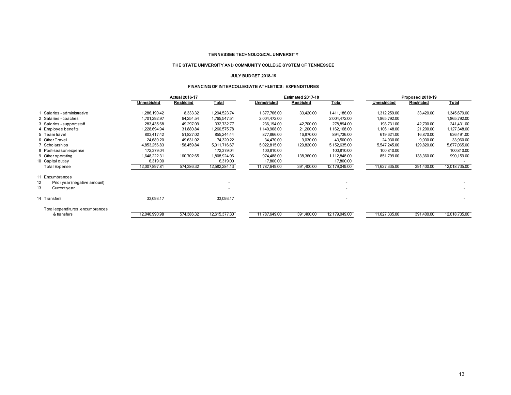#### THE STATE UNIVERSITY AND COMMUNITY COLLEGE SYSTEM OF TENNESSEE

#### JULY BUDGET 2018-19

#### FINANCING OF INTERCOLLEGIATE ATHLETICS: EXPENDITURES

|                                    |                     | <b>Actual 2016-17</b> |               |               | Estimated 2017-18 |               |                     | Proposed 2018-19 |               |  |  |
|------------------------------------|---------------------|-----------------------|---------------|---------------|-------------------|---------------|---------------------|------------------|---------------|--|--|
|                                    | <b>Unrestricted</b> | Restricted            | <b>Total</b>  | Unrestricted  | Restricted        | <b>Total</b>  | <b>Unrestricted</b> | Restricted       | <u>Total</u>  |  |  |
| Salaries - administrative          | 1,286,190.42        | 8,333.32              | 1,294,523.74  | 1,377,766.00  | 33,420.00         | 1,411,186.00  | 1,312,259.00        | 33,420.00        | 1,345,679.00  |  |  |
| 2 Salaries - coaches               | 1,701,292.97        | 64,254.54             | 1,765,547.51  | 2,004,472.00  |                   | 2,004,472.00  | 1,865,792.00        |                  | 1,865,792.00  |  |  |
| 3 Salaries - support staff         | 283,435.68          | 49,297.09             | 332,732.77    | 236,194.00    | 42,700.00         | 278,894.00    | 198,731.00          | 42,700.00        | 241,431.00    |  |  |
| 4 Employee benefits                | .228.694.94         | 31,880.84             | 1,260,575.78  | 1,140,968.00  | 21,200.00         | 1.162.168.00  | 1,106,148.00        | 21,200.00        | 1,127,348.00  |  |  |
| 5 Team travel                      | 803,417.42          | 51,827.02             | 855,244.44    | 877,866.00    | 16,870.00         | 894,736.00    | 619,621.00          | 16,870.00        | 636,491.00    |  |  |
| 6 Other Travel                     | 24,689.20           | 49,631.02             | 74,320.22     | 34,470.00     | 9,030.00          | 43,500.00     | 24,930.00           | 9,030.00         | 33,960.00     |  |  |
| 7 Scholarships                     | 4,853,256.83        | 158,459.84            | 5,011,716.67  | 5,022,815.00  | 129,820.00        | 5,152,635.00  | 5,547,245.00        | 129,820.00       | 5,677,065.00  |  |  |
| 8 Post-season expense              | 172,379.04          |                       | 172,379.04    | 100,810.00    |                   | 100,810.00    | 100,810.00          |                  | 100,810.00    |  |  |
| 9 Other operating                  | 1,648,222.31        | 160,702.65            | 1,808,924.96  | 974,488.00    | 138,360.00        | 1,112,848.00  | 851,799.00          | 138,360.00       | 990,159.00    |  |  |
| 10 Capital outlay                  | 6,319.00            |                       | 6,319.00      | 17,800.00     |                   | 17,800.00     |                     |                  |               |  |  |
| <b>Total Expense</b>               | 12,007,897.81       | 574,386.32            | 12,582,284.13 | 11,787,649.00 | 391,400.00        | 12,179,049.00 | 11,627,335.00       | 391,400.00       | 12,018,735.00 |  |  |
| 11 Encumbrances                    |                     |                       |               |               |                   |               |                     |                  |               |  |  |
| 12<br>Prior year (negative amount) |                     |                       |               |               |                   |               |                     |                  |               |  |  |
| 13<br>Current year                 |                     |                       |               |               |                   |               |                     |                  |               |  |  |
| 14 Transfers                       | 33,093.17           |                       | 33,093.17     |               |                   |               |                     |                  |               |  |  |
| Total expenditures, encumbrances   |                     |                       |               |               |                   |               |                     |                  |               |  |  |
| & transfers                        | 12,040,990.98       | 574,386.32            | 12,615,377.30 | 11,787,649.00 | 391,400.00        | 12,179,049.00 | 11,627,335.00       | 391,400.00       | 12,018,735.00 |  |  |
|                                    |                     |                       |               |               |                   |               |                     |                  |               |  |  |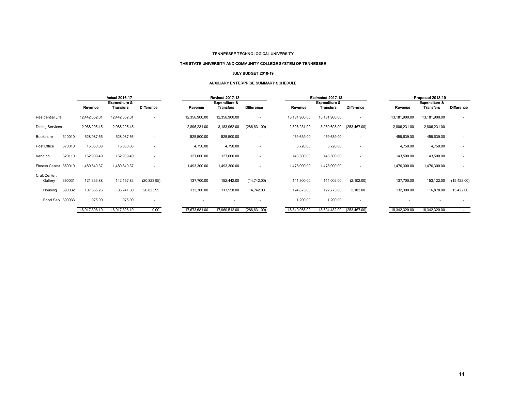#### THE STATE UNIVERSITY AND COMMUNITY COLLEGE SYSTEM OF TENNESSEE

#### JULY BUDGET 2018-19

#### AUXILIARY ENTERPRISE SUMMARY SCHEDULE

|                          |        |               | <b>Actual 2016-17</b> |                          |               | <b>Revised 2017-18</b>   |                          |               | Estimated 2017-18        |                          |               | Proposed 2018-19 |                          |
|--------------------------|--------|---------------|-----------------------|--------------------------|---------------|--------------------------|--------------------------|---------------|--------------------------|--------------------------|---------------|------------------|--------------------------|
|                          |        |               | Expenditure &         |                          |               | <b>Expenditure &amp;</b> |                          |               | <b>Expenditure &amp;</b> |                          |               | Expenditure &    |                          |
|                          |        | Revenue       | <u>Transfers</u>      | <b>Difference</b>        | Revenue       | <u>Transfers</u>         | <b>Difference</b>        | Revenue       | <b>Transfers</b>         | <b>Difference</b>        | Revenue       | <b>Transfers</b> | <b>Difference</b>        |
| Residential Life         |        | 12,442,352.01 | 12,442,352.01         | $\overline{\phantom{a}}$ | 12,356,900.00 | 12,356,900.00            | $\overline{\phantom{a}}$ | 13,181,900.00 | 13,181,900.00            | ٠                        | 13,181,900.00 | 13,181,900.00    |                          |
| <b>Dining Services</b>   |        | 2,068,205.45  | 2,068,205.45          | $\overline{\phantom{a}}$ | 2,896,231.00  | 3,183,062.00             | (286, 831.00)            | 2,806,231.00  | 3,059,698.00             | (253, 467.00)            | 2,806,231.00  | 2,806,231.00     |                          |
| Bookstore                | 310010 | 528,087.66    | 528,087.66            |                          | 525,500.00    | 525,500.00               |                          | 459,639.00    | 459,639.00               | $\overline{\phantom{a}}$ | 459,639.00    | 459,639.00       |                          |
| Post Office              | 370010 | 15,030.08     | 15,030.08             |                          | 4,750.00      | 4,750.00                 |                          | 3,720.00      | 3,720.00                 | ٠                        | 4,750.00      | 4,750.00         |                          |
| Vending                  | 320110 | 152,909.49    | 152,909.49            |                          | 127,000.00    | 127,000.00               |                          | 143,500.00    | 143,500.00               |                          | 143,500.00    | 143,500.00       |                          |
| <b>Fitness Center</b>    | 350010 | 1,480,849.37  | 1,480,849.37          |                          | 493,300.00    | 1,493,300.00             | ٠                        | 1,478,000.00  | 1,478,000.00             | ٠                        | 1,476,300.00  | 1,476,300.00     | $\overline{\phantom{a}}$ |
| Craft Center:<br>Gallery | 390031 | 121,333.88    | 142,157.83            | (20, 823.95)             | 137,700.00    | 152,442.00               | (14,742.00)              | 141,900.00    | 144,002.00               | (2,102.00)               | 137,700.00    | 153,122.00       | (15, 422.00)             |
| Housing                  | 390032 | 107,565.25    | 86,741.30             | 20,823.95                | 132,300.00    | 117,558.00               | 14,742.00                | 124,875.00    | 122,773.00               | 2,102.00                 | 132,300.00    | 116,878.00       | 15,422.00                |
| Food Serv 390033         |        | 975.00        | 975.00                | . .                      |               |                          |                          | 1,200.00      | 1,200.00                 | $\overline{\phantom{a}}$ |               |                  |                          |
|                          |        | 16,917,308.19 | 16,917,308.19         | 0.00                     | 17,673,681.00 | 17,960,512.00            | (286, 831.00)            | 18,340,965.00 | 18,594,432.00            | (253, 467.00)            | 18,342,320.00 | 18,342,320.00    | $\sim$                   |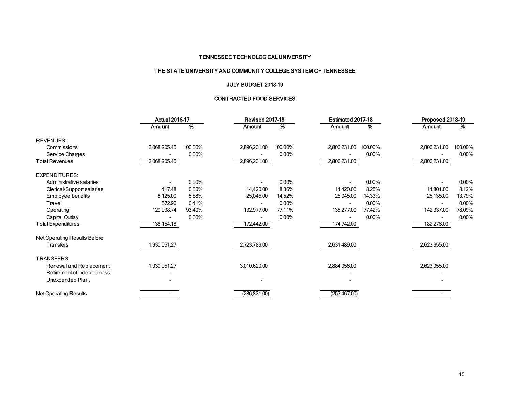## THE STATE UNIVERSITY AND COMMUNITY COLLEGE SYSTEM OF TENNESSEE

## JULY BUDGET 2018-19

## CONTRACTED FOOD SERVICES

|                              | <b>Actual 2016-17</b> |          | <b>Revised 2017-18</b> |                          | Estimated 2017-18 |          | Proposed 2018-19 |          |  |
|------------------------------|-----------------------|----------|------------------------|--------------------------|-------------------|----------|------------------|----------|--|
|                              | <b>Amount</b>         | <u>%</u> | <b>Amount</b>          | $\overline{\mathcal{X}}$ | <b>Amount</b>     | <u>%</u> | <b>Amount</b>    | <u>%</u> |  |
| <b>REVENUES:</b>             |                       |          |                        |                          |                   |          |                  |          |  |
| Commissions                  | 2,068,205.45          | 100.00%  | 2,896,231.00           | 100.00%                  | 2,806,231.00      | 100.00%  | 2,806,231.00     | 100.00%  |  |
| Service Charges              |                       | 0.00%    |                        | 0.00%                    |                   | 0.00%    |                  | 0.00%    |  |
| <b>Total Revenues</b>        | 2,068,205.45          |          | 2,896,231.00           |                          | 2,806,231.00      |          | 2,806,231.00     |          |  |
| <b>EXPENDITURES:</b>         |                       |          |                        |                          |                   |          |                  |          |  |
| Administrative salaries      |                       | 0.00%    |                        | 0.00%                    |                   | $0.00\%$ |                  | 0.00%    |  |
| Clerical/Support salaries    | 417.48                | 0.30%    | 14,420.00              | 8.36%                    | 14,420.00         | 8.25%    | 14,804.00        | 8.12%    |  |
| Employee benefits            | 8,125.00              | 5.88%    | 25,045.00              | 14.52%                   | 25,045.00         | 14.33%   | 25,135.00        | 13.79%   |  |
| Travel                       | 572.96                | 0.41%    |                        | 0.00%                    |                   | $0.00\%$ |                  | 0.00%    |  |
| Operating                    | 129,038.74            | 93.40%   | 132,977.00             | 77.11%                   | 135,277.00        | 77.42%   | 142,337.00       | 78.09%   |  |
| Capital Outlay               |                       | 0.00%    |                        | 0.00%                    |                   | 0.00%    |                  | 0.00%    |  |
| <b>Total Expenditures</b>    | 138,154.18            |          | 172,442.00             |                          | 174,742.00        |          | 182,276.00       |          |  |
| Net Operating Results Before |                       |          |                        |                          |                   |          |                  |          |  |
| <b>Transfers</b>             | 1,930,051.27          |          | 2,723,789.00           |                          | 2,631,489.00      |          | 2,623,955.00     |          |  |
| TRANSFERS:                   |                       |          |                        |                          |                   |          |                  |          |  |
| Renewal and Replacement      | 1,930,051.27          |          | 3,010,620.00           |                          | 2,884,956.00      |          | 2,623,955.00     |          |  |
| Retirement of Indebtedness   |                       |          |                        |                          |                   |          |                  |          |  |
| Unexpended Plant             |                       |          |                        |                          |                   |          |                  |          |  |
| <b>Net Operating Results</b> |                       |          | (286, 831.00)          |                          | (253, 467.00)     |          |                  |          |  |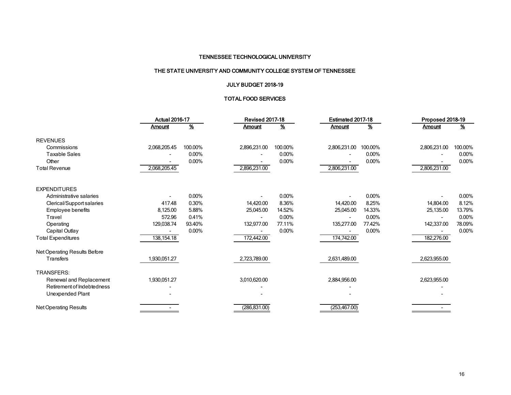## THE STATE UNIVERSITY AND COMMUNITY COLLEGE SYSTEM OF TENNESSEE

## JULY BUDGET 2018-19

## TOTAL FOOD SERVICES

|                              | <b>Actual 2016-17</b> |               | <b>Revised 2017-18</b> |                 | Estimated 2017-18 |          | Proposed 2018-19 |          |  |
|------------------------------|-----------------------|---------------|------------------------|-----------------|-------------------|----------|------------------|----------|--|
|                              | <b>Amount</b>         | $\frac{9}{6}$ | <b>Amount</b>          | $\frac{\%}{\%}$ | <b>Amount</b>     | <u>%</u> | <b>Amount</b>    | <u>%</u> |  |
| <b>REVENUES</b>              |                       |               |                        |                 |                   |          |                  |          |  |
| Commissions                  | 2,068,205.45          | 100.00%       | 2,896,231.00           | 100.00%         | 2,806,231.00      | 100.00%  | 2,806,231.00     | 100.00%  |  |
| <b>Taxable Sales</b>         |                       | 0.00%         |                        | $0.00\%$        |                   | 0.00%    |                  | 0.00%    |  |
| Other                        |                       | $0.00\%$      |                        | 0.00%           |                   | 0.00%    |                  | 0.00%    |  |
| <b>Total Revenue</b>         | 2,068,205.45          |               | 2,896,231.00           |                 | 2,806,231.00      |          | 2,806,231.00     |          |  |
| <b>EXPENDITURES</b>          |                       |               |                        |                 |                   |          |                  |          |  |
| Administrative salaries      |                       | 0.00%         |                        | 0.00%           |                   | 0.00%    |                  | $0.00\%$ |  |
| Clerical/Support salaries    | 417.48                | 0.30%         | 14,420.00              | 8.36%           | 14,420.00         | 8.25%    | 14,804.00        | 8.12%    |  |
| Employee benefits            | 8,125.00              | 5.88%         | 25,045.00              | 14.52%          | 25,045.00         | 14.33%   | 25,135.00        | 13.79%   |  |
| Travel                       | 572.96                | 0.41%         | $\sim$                 | 0.00%           |                   | 0.00%    |                  | 0.00%    |  |
| Operating                    | 129,038.74            | 93.40%        | 132,977.00             | 77.11%          | 135,277.00        | 77.42%   | 142,337.00       | 78.09%   |  |
| Capital Outlay               |                       | 0.00%         |                        | 0.00%           |                   | 0.00%    |                  | 0.00%    |  |
| <b>Total Expenditures</b>    | 138, 154. 18          |               | 172,442.00             |                 | 174,742.00        |          | 182,276.00       |          |  |
| Net Operating Results Before |                       |               |                        |                 |                   |          |                  |          |  |
| Transfers                    | 1,930,051.27          |               | 2,723,789.00           |                 | 2,631,489.00      |          | 2,623,955.00     |          |  |
| TRANSFERS:                   |                       |               |                        |                 |                   |          |                  |          |  |
| Renewal and Replacement      | 1,930,051.27          |               | 3,010,620.00           |                 | 2,884,956.00      |          | 2,623,955.00     |          |  |
| Retirement of Indebtedness   |                       |               |                        |                 |                   |          |                  |          |  |
| Unexpended Plant             |                       |               |                        |                 |                   |          |                  |          |  |
| Net Operating Results        |                       |               | (286, 831.00)          |                 | (253, 467.00)     |          |                  |          |  |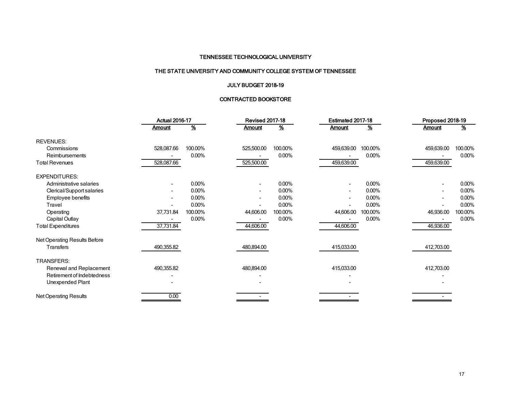## THE STATE UNIVERSITY AND COMMUNITY COLLEGE SYSTEM OF TENNESSEE

## JULY BUDGET 2018-19

## CONTRACTED BOOKSTORE

|                              | <b>Actual 2016-17</b> |               | <b>Revised 2017-18</b> |                          | Estimated 2017-18 |          | Proposed 2018-19 |               |  |
|------------------------------|-----------------------|---------------|------------------------|--------------------------|-------------------|----------|------------------|---------------|--|
|                              | <b>Amount</b>         | $\frac{9}{6}$ | Amount                 | $\overline{\mathcal{X}}$ | <b>Amount</b>     | <u>%</u> | <b>Amount</b>    | $\frac{9}{6}$ |  |
| <b>REVENUES:</b>             |                       |               |                        |                          |                   |          |                  |               |  |
| Commissions                  | 528,087.66            | 100.00%       | 525,500.00             | 100.00%                  | 459,639.00        | 100.00%  | 459,639.00       | 100.00%       |  |
| Reimbursements               |                       | 0.00%         |                        | 0.00%                    |                   | $0.00\%$ |                  | 0.00%         |  |
| <b>Total Revenues</b>        | 528,087.66            |               | 525,500.00             |                          | 459,639.00        |          | 459,639.00       |               |  |
| <b>EXPENDITURES:</b>         |                       |               |                        |                          |                   |          |                  |               |  |
| Administrative salaries      |                       | 0.00%         | ۰                      | 0.00%                    |                   | 0.00%    |                  | 0.00%         |  |
| Clerical/Support salaries    |                       | 0.00%         |                        | 0.00%                    |                   | $0.00\%$ |                  | 0.00%         |  |
| Employee benefits            |                       | 0.00%         |                        | 0.00%                    |                   | $0.00\%$ |                  | 0.00%         |  |
| Travel                       |                       | 0.00%         |                        | 0.00%                    |                   | $0.00\%$ |                  | 0.00%         |  |
| Operating                    | 37,731.84             | 100.00%       | 44,606.00              | 100.00%                  | 44,606.00         | 100.00%  | 46,936.00        | 100.00%       |  |
| Capital Outlay               |                       | 0.00%         |                        | 0.00%                    |                   | $0.00\%$ |                  | 0.00%         |  |
| <b>Total Expenditures</b>    | 37,731.84             |               | 44,606.00              |                          | 44,606.00         |          | 46,936.00        |               |  |
| Net Operating Results Before |                       |               |                        |                          |                   |          |                  |               |  |
| <b>Transfers</b>             | 490,355.82            |               | 480,894.00             |                          | 415,033.00        |          | 412,703.00       |               |  |
| TRANSFERS:                   |                       |               |                        |                          |                   |          |                  |               |  |
| Renewal and Replacement      | 490,355.82            |               | 480,894.00             |                          | 415,033.00        |          | 412,703.00       |               |  |
| Retirement of Indebtedness   |                       |               |                        |                          |                   |          |                  |               |  |
| Unexpended Plant             |                       |               |                        |                          |                   |          |                  |               |  |
| <b>Net Operating Results</b> | 0.00                  |               |                        |                          |                   |          |                  |               |  |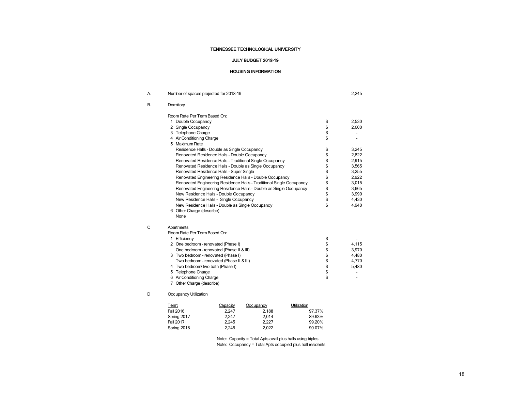#### JULY BUDGET 2018-19

#### HOUSING INFORMATION

| А. | Number of spaces projected for 2018-19                                                                                                                                                                                                                                                                                                                                                                                                                                                                                                                                                                                                                                                                                                                                                                 |                                          | 2,245                                                                                                             |
|----|--------------------------------------------------------------------------------------------------------------------------------------------------------------------------------------------------------------------------------------------------------------------------------------------------------------------------------------------------------------------------------------------------------------------------------------------------------------------------------------------------------------------------------------------------------------------------------------------------------------------------------------------------------------------------------------------------------------------------------------------------------------------------------------------------------|------------------------------------------|-------------------------------------------------------------------------------------------------------------------|
| В. | Dormitory                                                                                                                                                                                                                                                                                                                                                                                                                                                                                                                                                                                                                                                                                                                                                                                              |                                          |                                                                                                                   |
|    | Room Rate Per Term Based On:<br>1 Double Occupancy<br>2 Single Occupancy<br>3 Telephone Charge<br>4 Air Conditioning Charge<br>5 Maximum Rate<br>Residence Halls - Double as Single Occupancy<br>Renovated Residence Halls - Double Occupancy<br>Renovated Residence Halls - Traditional Single Occupancy<br>Renovated Residence Halls - Double as Single Occupancy<br>Renovated Residence Halls - Super Single<br>Renovated Engineering Residence Halls - Double Occupancy<br>Renovated Engineering Residence Halls - Traditional Single Occupancy<br>Renovated Engineering Residence Halls - Double as Single Occupancy<br>New Residence Halls - Double Occupancy<br>New Residence Halls - Single Occupancy<br>New Residence Halls - Double as Single Occupancy<br>6 Other Charge (describe)<br>None | \$\$\$\$<br>\$\$\$\$\$\$\$\$\$\$\$<br>\$ | 2,530<br>2,600<br>3,245<br>2,822<br>2,915<br>3,565<br>3,255<br>2,922<br>3,015<br>3,665<br>3,990<br>4,430<br>4,940 |
| C  | Apartments<br>Room Rate Per Term Based On:<br>1 Efficiency<br>2 One bedroom - renovated (Phase I)<br>One bedroom - renovated (Phase II & III)<br>3 Two bedroom - renovated (Phase I)<br>Two bedroom - renovated (Phase II & III)<br>4 Two bedroom/ two bath (Phase I)<br>5 Telephone Charge<br>6 Air Conditioning Charge<br>7 Other Charge (describe)                                                                                                                                                                                                                                                                                                                                                                                                                                                  | \$<br>\$\$\$\$\$\$<br>\$                 | 4,115<br>3,970<br>4,480<br>4,770<br>5,480                                                                         |
| D  | Occupancy Utilization                                                                                                                                                                                                                                                                                                                                                                                                                                                                                                                                                                                                                                                                                                                                                                                  |                                          |                                                                                                                   |

| Term:       | Capacity | Occupancy | <b>Utilization</b> |
|-------------|----------|-----------|--------------------|
| Fall 2016   | 2.247    | 2.188     | 97.37%             |
| Spring 2017 | 2.247    | 2.014     | 89.63%             |
| Fall 2017   | 2.245    | 2.227     | 99.20%             |
| Spring 2018 | 2.245    | 2.022     | 90.07%             |

Note: Capacity = Total Apts avail plus halls using triples Note: Occupancy = Total Apts occupied plus hall residents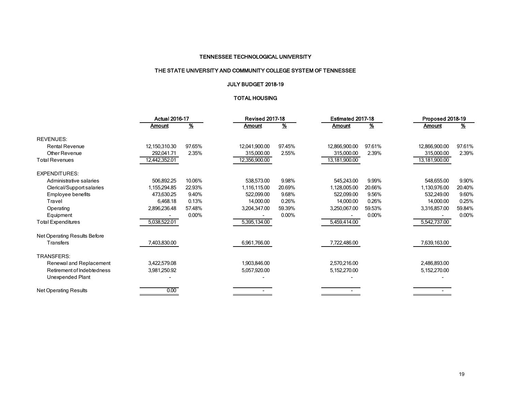## THE STATE UNIVERSITY AND COMMUNITY COLLEGE SYSTEM OF TENNESSEE

## JULY BUDGET 2018-19

## TOTAL HOUSING

|                              | <b>Actual 2016-17</b> |          | <b>Revised 2017-18</b> |          | Estimated 2017-18 |        | Proposed 2018-19 |          |  |
|------------------------------|-----------------------|----------|------------------------|----------|-------------------|--------|------------------|----------|--|
|                              | Amount                | <u>%</u> | Amount                 | <u>%</u> | Amount            | %      | Amount           | %        |  |
| <b>REVENUES:</b>             |                       |          |                        |          |                   |        |                  |          |  |
| <b>Rental Revenue</b>        | 12,150,310.30         | 97.65%   | 12,041,900.00          | 97.45%   | 12,866,900.00     | 97.61% | 12,866,900.00    | 97.61%   |  |
| Other Revenue                | 292,041.71            | 2.35%    | 315,000.00             | 2.55%    | 315,000.00        | 2.39%  | 315,000.00       | 2.39%    |  |
| <b>Total Revenues</b>        | 12,442,352.01         |          | 12,356,900.00          |          | 13,181,900.00     |        | 13,181,900.00    |          |  |
| <b>EXPENDITURES:</b>         |                       |          |                        |          |                   |        |                  |          |  |
| Administrative salaries      | 506,892.25            | 10.06%   | 538,573.00             | 9.98%    | 545,243.00        | 9.99%  | 548,655.00       | 9.90%    |  |
| Clerical/Support salaries    | 1,155,294.85          | 22.93%   | 1,116,115.00           | 20.69%   | 1,128,005.00      | 20.66% | 1,130,976.00     | 20.40%   |  |
| Employee benefits            | 473,630.25            | 9.40%    | 522.099.00             | 9.68%    | 522,099.00        | 9.56%  | 532,249.00       | 9.60%    |  |
| Travel                       | 6,468.18              | 0.13%    | 14,000.00              | 0.26%    | 14,000.00         | 0.26%  | 14,000.00        | 0.25%    |  |
| Operating                    | 2,896,236.48          | 57.48%   | 3,204,347.00           | 59.39%   | 3,250,067.00      | 59.53% | 3,316,857.00     | 59.84%   |  |
| Equipment                    |                       | 0.00%    |                        | 0.00%    |                   | 0.00%  |                  | $0.00\%$ |  |
| <b>Total Expenditures</b>    | 5,038,522.01          |          | 5,395,134.00           |          | 5,459,414.00      |        | 5,542,737.00     |          |  |
| Net Operating Results Before |                       |          |                        |          |                   |        |                  |          |  |
| <b>Transfers</b>             | 7,403,830.00          |          | 6,961,766.00           |          | 7,722,486.00      |        | 7,639,163.00     |          |  |
| TRANSFERS:                   |                       |          |                        |          |                   |        |                  |          |  |
| Renewal and Replacement      | 3,422,579.08          |          | 1,903,846.00           |          | 2,570,216.00      |        | 2,486,893.00     |          |  |
| Retirement of Indebtedness   | 3,981,250.92          |          | 5,057,920.00           |          | 5,152,270.00      |        | 5,152,270.00     |          |  |
| Unexpended Plant             |                       |          |                        |          |                   |        |                  |          |  |
| <b>Net Operating Results</b> | 0.00                  |          |                        |          |                   |        |                  |          |  |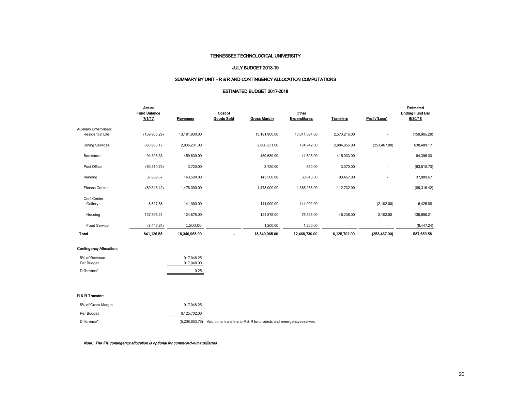#### JULY BUDGET 2018-19

#### SUMMARY BY UNIT - R & R AND CONTINGENCY ALLOCATION COMPUTATIONS

#### ESTIMATED BUDGET 2017-2018

|                                                          | Actual<br><b>Fund Balance</b><br>7/1/17 | Revenues      | Cost of<br><b>Goods Sold</b> | <b>Gross Margin</b> | Other<br><b>Expenditures</b> | <b>Transfers</b> | Profit/(Loss)  | Estimated<br><b>Ending Fund Bal</b><br>6/30/18 |
|----------------------------------------------------------|-----------------------------------------|---------------|------------------------------|---------------------|------------------------------|------------------|----------------|------------------------------------------------|
| <b>Auxiliary Enterprises:</b><br><b>Residential Life</b> | (159, 965.29)                           | 13,181,900.00 |                              | 13,181,900.00       | 10,611,684.00                | 2,570,216.00     | $\blacksquare$ | (159, 965.29)                                  |
| <b>Dining Services</b>                                   | 883,956.17                              | 2,806,231.00  |                              | 2,806,231.00        | 174,742.00                   | 2,884,956.00     | (253, 467.00)  | 630,489.17                                     |
| Bookstore                                                | 94,396.33                               | 459,639.00    |                              | 459,639.00          | 44,606.00                    | 415,033.00       |                | 94,396.33                                      |
| Post Office                                              | (63, 510.73)                            | 3,720.00      |                              | 3,720.00            | 650.00                       | 3,070.00         |                | (63, 510.73)                                   |
| Vending                                                  | 37,889.67                               | 143,500.00    |                              | 143,500.00          | 50,043.00                    | 93,457.00        |                | 37,889.67                                      |
| <b>Fitness Center</b>                                    | (89,316.42)                             | 1,478,000.00  |                              | 1,478,000.00        | 1,365,268.00                 | 112,732.00       |                | (89,316.42)                                    |
| Craft Center:<br>Gallery                                 | 8,527.88                                | 141,900.00    |                              | 141,900.00          | 144,002.00                   |                  | (2,102.00)     | 6,425.88                                       |
| Housing                                                  | 137,596.21                              | 124,875.00    |                              | 124,875.00          | 76,535.00                    | 46,238.00        | 2,102.00       | 139,698.21                                     |
| Food Service                                             | (8,447.24)                              | 1,200.00      |                              | 1,200.00            | 1,200.00                     |                  |                | (8,447.24)                                     |
| Total                                                    | 841,126.58                              | 18,340,965.00 | $\blacksquare$               | 18,340,965.00       | 12,468,730.00                | 6,125,702.00     | (253, 467.00)  | 587,659.58                                     |
|                                                          |                                         |               |                              |                     |                              |                  |                |                                                |

#### Contingency Allocation:

| 5% of Revenue | 917.048.25 |
|---------------|------------|
| Per Budget    | 917.048.00 |
| Difference*   | 0.25       |

#### R & R Transfer:

| 5% of Gross Margin | 917.048.25     |                                                                    |
|--------------------|----------------|--------------------------------------------------------------------|
| Per Budget         | 6.125.702.00   |                                                                    |
| Difference*        | (5.208.653.75) | Additional transfers to R & R for projects and emergency reserves. |

Note: The 5% contingency allocation is optional for contracted-out auxiliaries.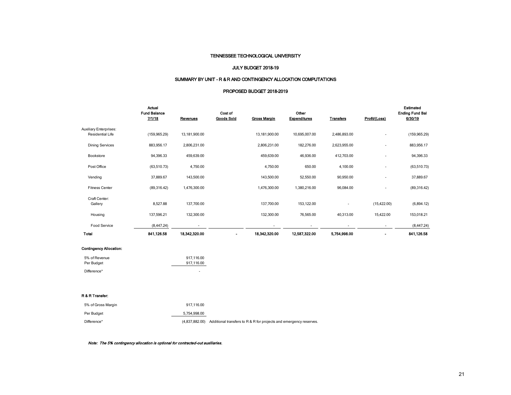#### JULY BUDGET 2018-19

## SUMMARY BY UNIT - R & R AND CONTINGENCY ALLOCATION COMPUTATIONS

#### PROPOSED BUDGET 2018-2019

|                                                          | Actual<br><b>Fund Balance</b><br>7/1/18 | Revenues       | Cost of<br><b>Goods Sold</b> | <b>Gross Margin</b> | Other<br><b>Expenditures</b> | <b>Transfers</b> | Profit/(Loss)            | Estimated<br><b>Ending Fund Bal</b><br>6/30/19 |
|----------------------------------------------------------|-----------------------------------------|----------------|------------------------------|---------------------|------------------------------|------------------|--------------------------|------------------------------------------------|
| <b>Auxiliary Enterprises:</b><br><b>Residential Life</b> | (159, 965.29)                           | 13,181,900.00  |                              | 13,181,900.00       | 10,695,007.00                | 2,486,893.00     | ٠                        | (159, 965.29)                                  |
| <b>Dining Services</b>                                   | 883,956.17                              | 2,806,231.00   |                              | 2,806,231.00        | 182,276.00                   | 2,623,955.00     | ٠                        | 883,956.17                                     |
| Bookstore                                                | 94,396.33                               | 459,639.00     |                              | 459,639.00          | 46,936.00                    | 412,703.00       | ٠                        | 94,396.33                                      |
| Post Office                                              | (63, 510.73)                            | 4,750.00       |                              | 4,750.00            | 650.00                       | 4,100.00         | ٠                        | (63, 510.73)                                   |
| Vending                                                  | 37,889.67                               | 143,500.00     |                              | 143,500.00          | 52,550.00                    | 90,950.00        | ٠                        | 37,889.67                                      |
| <b>Fitness Center</b>                                    | (89,316.42)                             | 1,476,300.00   |                              | 1,476,300.00        | 1,380,216.00                 | 96,084.00        | ٠                        | (89,316.42)                                    |
| Craft Center:<br>Gallery                                 | 8,527.88                                | 137,700.00     |                              | 137,700.00          | 153,122.00                   | ٠                | (15, 422.00)             | (6,894.12)                                     |
| Housing                                                  | 137,596.21                              | 132,300.00     |                              | 132,300.00          | 76,565.00                    | 40,313.00        | 15,422.00                | 153,018.21                                     |
| <b>Food Service</b>                                      | (8,447.24)                              | $\blacksquare$ |                              | ۰                   | ٠                            | ۰                | $\overline{\phantom{a}}$ | (8,447.24)                                     |
| Total                                                    | 841,126.58                              | 18,342,320.00  |                              | 18,342,320.00       | 12,587,322.00                | 5,754,998.00     |                          | 841,126.58                                     |

#### Contingency Allocation:

| 5% of Revenue | 917.116.00 |
|---------------|------------|
| Per Budget    | 917.116.00 |
| Difference*   |            |

#### R & R Transfer:

| 5% of Gross Margin | 917.116.00   |                                                                                   |
|--------------------|--------------|-----------------------------------------------------------------------------------|
| Per Budget         | 5.754.998.00 |                                                                                   |
| Difference*        |              | (4,837,882.00) Additional transfers to R & R for projects and emergency reserves. |

Note: The 5% contingency allocation is optional for contracted-out auxiliaries.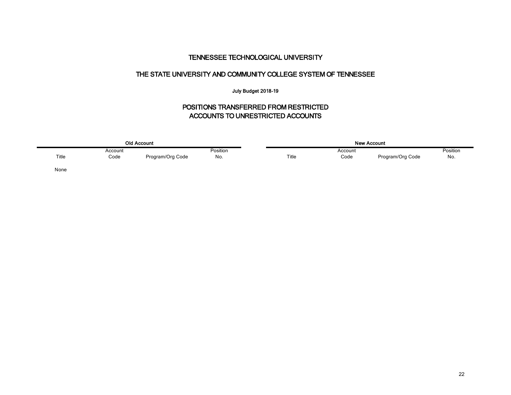## THE STATE UNIVERSITY AND COMMUNITY COLLEGE SYSTEM OF TENNESSEE

## July Budget 2018-19

# POSITIONS TRANSFERRED FROM RESTRICTED ACCOUNTS TO UNRESTRICTED ACCOUNTS

|       | <b>Old Account</b> |                  |          |  |       | New Account |                  |          |  |  |  |
|-------|--------------------|------------------|----------|--|-------|-------------|------------------|----------|--|--|--|
|       | Account            |                  | Position |  |       | Account     |                  | Position |  |  |  |
| Title | Code               | Program/Org Code | No.      |  | Title | Code        | Program/Org Code | No.      |  |  |  |
| None  |                    |                  |          |  |       |             |                  |          |  |  |  |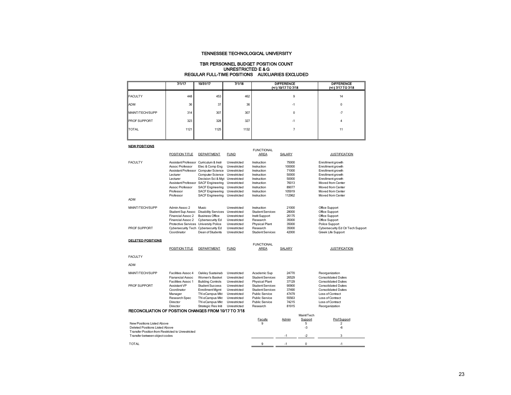#### TBR PERSONNEL BUDGET POSITION COUNT UNRESTRICTED E & G REGULAR FULL-TIME POSITIONS AUXILIARIES EXCLUDED

|                 | 7/1/17 | 10/31/17 | 7/1/18 | <b>DIFFERENCE</b><br>(+/-) 10/17 TO 7/18 | <b>DIFFERENCE</b><br>(+/-) 7/17 TO 7/18 |
|-----------------|--------|----------|--------|------------------------------------------|-----------------------------------------|
| <b>FACULTY</b>  | 448    | 453      | 462    | 9                                        | 14                                      |
| <b>ADM</b>      | 36     | 37       | 36     | -1                                       | $\Omega$                                |
| MAINT/TECH/SUPP | 314    | 307      | 307    | 0                                        | $-7$                                    |
| PROF SUPPORT    | 323    | 328      | 327    | -1                                       | 4                                       |
| <b>TOTAL</b>    | 1121   | 1125     | 1132   |                                          | 11                                      |
|                 |        |          |        |                                          |                                         |

NEW POSITIONS

| NEW FUSH IUNG                                         |                                        |                                 |              |                           |               |            |                                   |
|-------------------------------------------------------|----------------------------------------|---------------------------------|--------------|---------------------------|---------------|------------|-----------------------------------|
|                                                       | POSITION TITLE                         | DEPARTMENT                      | <b>FUND</b>  | <b>FUNCTIONAL</b><br>AREA | SALARY        |            | <b>JUSTIFICATION</b>              |
| <b>FACULTY</b>                                        | Assistant Professor Curriculum & Instr |                                 | Unrestricted | Instruction               | 75000         |            | Enrollment growth                 |
|                                                       | Assoc Professor                        | Elec & Comp Eng                 | Unrestricted | Instruction               | 100000        |            | Enrollment growth                 |
|                                                       | Assistant Professor Computer Science   |                                 | Unrestricted | Instruction               | 71000         |            | Enrollment growth                 |
|                                                       | Lecturer                               | Computer Science                | Unrestricted | Instruction               | 50000         |            | Enrollment growth                 |
|                                                       | Lecturer                               | Decision Sci & Mgt Unrestricted |              | Instruction               | 50000         |            | Enrollment growth                 |
|                                                       | Assistant Professor SACF Engineering   |                                 | Unrestricted | Instruction               | 76013         |            | Moved from Center                 |
|                                                       | Assoc Professor                        | <b>SACF Engineering</b>         | Unrestricted | Instruction               | 89077         |            | Moved from Center                 |
|                                                       | Professor                              | <b>SACF Engineering</b>         | Unrestricted | Instruction               | 105919        |            | Moved from Center                 |
|                                                       | Professor                              | <b>SACF Engineering</b>         | Unrestricted | Instruction               | 112962        |            | Moved from Center                 |
| <b>ADM</b>                                            |                                        |                                 |              |                           |               |            |                                   |
| MAINT/TFCH/SUPP                                       | Admin Assoc 2                          | Music.                          | Unrestricted | Instruction               | 21000         |            | Office Support                    |
|                                                       | Student Sup Assoc                      | <b>Disability Services</b>      | Unrestricted | <b>Student Services</b>   | 28000         |            | Office Support                    |
|                                                       | Financial Assoc 2                      | <b>Business Office</b>          | Unrestricted | Instit Support            | 26175         |            | Office Support                    |
|                                                       | Financial Assoc 2                      | Cybersecurity Ed                | Unrestricted | Research                  | 35000         |            | Office Support                    |
|                                                       | Protective Services University Police  |                                 | Unrestricted | Physical Plant            | 35000         |            | Police Support                    |
| PROF SUPPORT                                          | Cybersecurity Tech                     | Cybersecurity Ed                | Unrestricted | Research                  | 35000         |            | Cybersecurity Ed Ctr Tech Support |
|                                                       | Coordinator                            | Dean of Students                | Unrestricted | <b>Student Services</b>   | 42000         |            | Greek Life Support                |
| <b>DELETED POSITIONS</b>                              |                                        |                                 |              |                           |               |            |                                   |
|                                                       |                                        |                                 |              | <b>FUNCTIONAL</b>         |               |            |                                   |
|                                                       | POSITION TITLE                         | DEPARTMENT                      | <b>FUND</b>  | AREA                      | <b>SALARY</b> |            | <b>JUSTIFICATION</b>              |
| <b>FACULTY</b>                                        |                                        |                                 |              |                           |               |            |                                   |
| <b>ADM</b>                                            |                                        |                                 |              |                           |               |            |                                   |
| MAINT/TECH/SUPP                                       | Facilities Assoc 4                     | Oakley Sustainab                | Unrestricted | Academic Sup              | 24770         |            | Reorganization                    |
|                                                       | Fianancial Assoc                       | Women's Basket                  | Unrestricted | <b>Student Services</b>   | 26529         |            | <b>Consolidated Duties</b>        |
|                                                       | Facilities Assoc 1                     | <b>Building Controls</b>        | Unrestricted | <b>Physical Plant</b>     | 37129         |            | <b>Consolidated Duties</b>        |
| PROF SUPPORT                                          | Assistant VP                           | <b>Student Success</b>          | Unrestricted | <b>Student Services</b>   | 90900         |            | <b>Consolidated Duties</b>        |
|                                                       | Coordinator                            | <b>Enrollment Mgmt</b>          | Unrestricted | <b>Student Services</b>   | 37490         |            | <b>Consolidated Duties</b>        |
|                                                       | Manager                                | TN eCampus Mkt                  | Unrestricted | Public Service            | 47479         |            | Loss of Contract                  |
|                                                       | Research Spec                          | TN eCampus Mkt                  | Unrestricted | Public Service            | 55563         |            | Loss of Contract                  |
|                                                       | Director                               | TN eCampus Mkt                  | Unrestricted | Public Service            | 74215         |            | Loss of Contract                  |
|                                                       | Director                               | Strategic Res Initi             | Unrestricted | Research                  | 81915         |            | Reorganization                    |
| RECONCILIATION OF POSITION CHANGES FROM 10/17 TO 7/18 |                                        |                                 |              |                           |               |            |                                   |
|                                                       |                                        |                                 |              |                           |               | Maint/Tech |                                   |
|                                                       |                                        |                                 |              | Faculty                   | Admin         | Support    | Prof Support                      |
| New Positions Listed Above                            |                                        |                                 |              | 9                         |               | 5          | 2                                 |
| Deleted Positions Listed Above                        |                                        |                                 |              |                           |               | $-3$       | $-6$                              |
| Transfer Position from Restricted to Unrestricted     |                                        |                                 |              |                           |               |            |                                   |
| Transfer between object codes                         |                                        |                                 |              |                           | $-1$          | $-2$       | 3                                 |
| <b>TOTAL</b>                                          |                                        |                                 |              | 9                         | $-1$          | 0          | $-1$                              |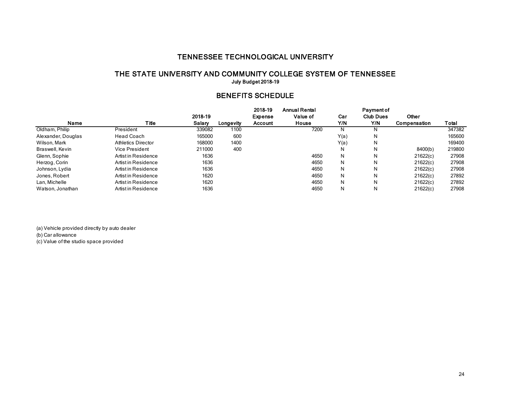## THE STATE UNIVERSITY AND COMMUNITY COLLEGE SYSTEM OF TENNESSEE July Budget 2018-19

## BENEFITS SCHEDULE

|                    |                           |         |           | 2018-19 | <b>Annual Rental</b> |      | <b>Payment of</b> |              |        |
|--------------------|---------------------------|---------|-----------|---------|----------------------|------|-------------------|--------------|--------|
|                    |                           | 2018-19 |           | Expense | Value of             | Car  | <b>Club Dues</b>  | Other        |        |
| Name               | Title                     | Salarv  | Longevity | Account | House                | Y/N  | Y/N               | Compensation | Total  |
| Oldham, Philip     | President                 | 339082  | 1100      |         | 7200                 | N    |                   |              | 347382 |
| Alexander, Douglas | <b>Head Coach</b>         | 165000  | 600       |         |                      | Y(a) | N                 |              | 165600 |
| Wilson, Mark       | <b>Athletics Director</b> | 168000  | 1400      |         |                      | Y(a) | N                 |              | 169400 |
| Braswell, Kevin    | Vice President            | 211000  | 400       |         |                      | N    | Ν                 | 8400(b)      | 219800 |
| Glenn, Sophie      | Artist in Residence       | 1636    |           |         | 4650                 | N    | Ν                 | 21622(c)     | 27908  |
| Herzog, Corin      | Artist in Residence       | 1636    |           |         | 4650                 | N    | N                 | 21622(c)     | 27908  |
| Johnson, Lydia     | Artist in Residence       | 1636    |           |         | 4650                 | N    | N                 | 21622(c)     | 27908  |
| Jones, Robert      | Artist in Residence       | 1620    |           |         | 4650                 | N    | N                 | 21622(c)     | 27892  |
| Lan, Michelle      | Artist in Residence       | 1620    |           |         | 4650                 | N    | N                 | 21622(c)     | 27892  |
| Watson, Jonathan   | Artist in Residence       | 1636    |           |         | 4650                 | N    | N                 | 21622(c)     | 27908  |

(a) Vehicle provided directly by auto dealer (b) Car allowance (c) Value of the studio space provided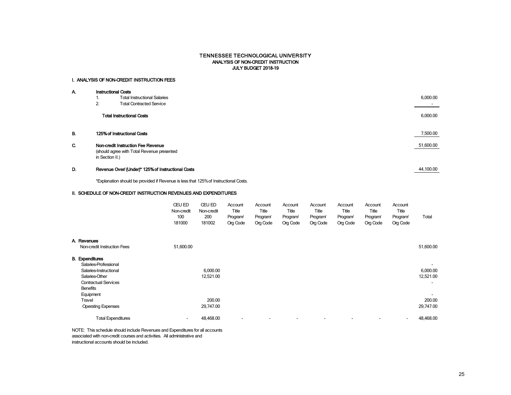#### TENNESSEE TECHNOLOGICAL UNIVERSITY ANALYSIS OF NON-CREDIT INSTRUCTION JULY BUDGET 2018-19

#### I. ANALYSIS OF NON-CREDIT INSTRUCTION FEES

| А. |                 | <b>Instructional Costs</b>                         |           |  |  |  |  |  |
|----|-----------------|----------------------------------------------------|-----------|--|--|--|--|--|
|    | ъ.              | <b>Total Instructional Salaries</b>                | 6,000.00  |  |  |  |  |  |
|    | 2.              | <b>Total Contracted Service</b>                    |           |  |  |  |  |  |
|    |                 | <b>Total Instructional Costs</b>                   | 6,000.00  |  |  |  |  |  |
| В. |                 | 125% of Instructional Costs                        | 7,500.00  |  |  |  |  |  |
| C. |                 | Non-credit Instruction Fee Revenue                 | 51,600.00 |  |  |  |  |  |
|    | in Section II.) | (should agree with Total Revenue presented         |           |  |  |  |  |  |
| D. |                 | Revenue Over/ (Under)* 125% of Instructional Costs | 44.100.00 |  |  |  |  |  |

\*Explanation should be provided if Revenue is less that 125% of Instructional Costs.

#### II. SCHEDULE OF NON-CREDIT INSTRUCTION REVENUES AND EXPENDITURES

|                                                                                                                                               | <b>CEU ED</b><br>Non-credit<br>100<br>181000 | CEU ED<br>Non-credit<br>200<br>181002 | Account<br>Title<br>Program<br>Org Code | Account<br>Title<br>Program<br>Org Code | Account<br>Title<br>Program<br>Org Code | Account<br>Title<br>Program<br>Org Code | Account<br>Title<br>Program<br>Org Code | Account<br>Title<br>Program <sup>/</sup><br>Org Code | Account<br>Title<br>Program<br>Org Code | Total                                             |
|-----------------------------------------------------------------------------------------------------------------------------------------------|----------------------------------------------|---------------------------------------|-----------------------------------------|-----------------------------------------|-----------------------------------------|-----------------------------------------|-----------------------------------------|------------------------------------------------------|-----------------------------------------|---------------------------------------------------|
| A. Revenues                                                                                                                                   |                                              |                                       |                                         |                                         |                                         |                                         |                                         |                                                      |                                         |                                                   |
| Non-credit Instruction Fees                                                                                                                   | 51,600.00                                    |                                       |                                         |                                         |                                         |                                         |                                         |                                                      |                                         | 51,600.00                                         |
| <b>B.</b> Expenditures<br>Salaries-Professional<br>Salaries-Instructional<br>Salaries-Other<br><b>Contractual Services</b><br><b>Benefits</b> |                                              | 6,000.00<br>12,521.00                 |                                         |                                         |                                         |                                         |                                         |                                                      |                                         | $\overline{\phantom{a}}$<br>6,000.00<br>12,521.00 |
| Equipment<br>Travel<br><b>Operating Expenses</b>                                                                                              |                                              | 200.00<br>29,747.00                   |                                         |                                         |                                         |                                         |                                         |                                                      |                                         | $\overline{\phantom{a}}$<br>200.00<br>29,747.00   |
| <b>Total Expenditures</b>                                                                                                                     | ٠                                            | 48,468.00                             | $\overline{\phantom{a}}$                |                                         |                                         | $\overline{\phantom{a}}$                |                                         |                                                      | ٠                                       | 48,468.00                                         |

NOTE: This schedule should include Revenues and Expenditures for all accounts associated with non-credit courses and activities. All administrative and instructional accounts should be included.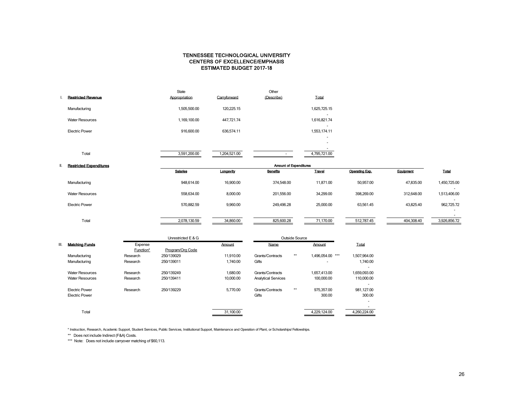### CENTERS OF EXCELLENCE/EMPHASIS TENNESSEE TECHNOLOGICAL UNIVERSITY ESTIMATED BUDGET 2017-18

|                           | <b>State</b>  |              | Other      |                   |
|---------------------------|---------------|--------------|------------|-------------------|
| <b>Restricted Revenue</b> | Appropriation | Carryforward | (Describe) | Total             |
| Manufacturing             | 1,505,500.00  | 120.225.15   |            | 1,625,725.15      |
| <b>Water Resources</b>    | 1,169,100.00  | 447,721.74   |            | ۰<br>1,616,821.74 |
| <b>Electric Power</b>     | 916,600.00    | 636,574.11   |            | ۰<br>1,553,174.11 |
|                           |               |              |            | ۰                 |
|                           |               |              |            | ۰                 |
| Total                     | 3,591,200.00  | 1,204,521.00 |            | 4,795,721.00      |
|                           |               |              |            |                   |

| <b>Restricted Expenditures</b> | <b>Amount of Expenditures</b> |           |                 |               |                |            |                                          |  |
|--------------------------------|-------------------------------|-----------|-----------------|---------------|----------------|------------|------------------------------------------|--|
|                                | <b>Salaries</b>               | Longevity | <b>Benefits</b> | <b>Travel</b> | Operating Exp. | Equipment  | Total                                    |  |
| Manufacturing                  | 948.614.00                    | 16,900.00 | 374,548.00      | 11,871.00     | 50,957.00      | 47,835.00  | 1,450,725.00                             |  |
| <b>Water Resources</b>         | 558,634.00                    | 8,000.00  | 201,556.00      | 34,299.00     | 398,269.00     | 312,648.00 | 1,513,406.00<br>$\overline{\phantom{a}}$ |  |
| <b>Electric Power</b>          | 570.882.59                    | 9,960.00  | 249,496.28      | 25,000.00     | 63.561.45      | 43.825.40  | 962,725.72                               |  |
|                                |                               |           |                 |               |                |            |                                          |  |
| Total                          | 2,078,130.59                  | 34,860.00 | 825,600.28      | 71,170.00     | 512,787.45     | 404,308.40 | 3,926,856.72                             |  |
|                                |                               |           |                 |               |                |            |                                          |  |

|                        |           | Unrestricted E & G |                   | Outside Source             |      |                     |                                        |
|------------------------|-----------|--------------------|-------------------|----------------------------|------|---------------------|----------------------------------------|
| <b>Matching Funds</b>  | Expense   |                    | Amount            | Name                       |      | Amount              | Total                                  |
|                        | Function* | Program/Org Code   |                   |                            |      |                     |                                        |
| Manufacturing          | Research  | 250/139029         | 11.910.00         | Grants/Contracts           | $**$ | 1.496.054.00<br>*** | 1,507,964.00                           |
| Manufacturing          | Research  | 250/139011         | 1.740.00<br>Gifts |                            |      |                     | 1.740.00                               |
| <b>Water Resources</b> | Research  | 250/139249         | 1.680.00          | Grants/Contracts           |      | 1.657.413.00        | 1,659,093.00                           |
| <b>Water Resources</b> | Research  | 250/139411         | 10.000.00         | <b>Analytical Services</b> |      | 100.000.00          | 110.000.00                             |
| <b>Electric Power</b>  | Research  | 250/139229         | 5.770.00          | Grants/Contracts           | $**$ | 975,357.00          | $\overline{\phantom{a}}$<br>981.127.00 |
| <b>Electric Power</b>  |           |                    |                   | Gifts                      |      | 300.00              | 300.00                                 |
|                        |           |                    |                   |                            |      |                     | $\overline{\phantom{a}}$               |
| Total                  |           |                    | 31.100.00         |                            |      | 4.229.124.00        | 4.260.224.00                           |

\* Instruction, Research, Academic Support, Student Services, Public Services, Institutional Support, Maintenance and Operation of Plant, or Scholarships/ Fellowships.

\*\* Does not include Indirect (F&A) Costs.

\*\*\* Note: Does not include carryover matching of \$60,113.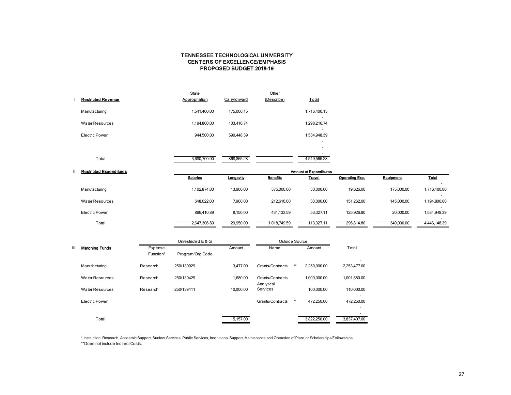## CENTERS OF EXCELLENCE/EMPHASIS TENNESSEE TECHNOLOGICAL UNIVERSITY PROPOSED BUDGET 2018-19

|                           | State         |              | Other      |                                          |
|---------------------------|---------------|--------------|------------|------------------------------------------|
| <b>Restricted Revenue</b> | Appropriation | Carryforward | (Describe) | Total                                    |
| Manufacturing             | 1,541,400.00  | 175,000.15   |            | 1,716,400.15<br>$\overline{\phantom{a}}$ |
| <b>Water Resources</b>    | 1,194,800.00  | 103,416.74   |            | 1,298,216.74                             |
| Electric Power            | 944,500.00    | 590,448.39   |            | 1,534,948.39                             |
|                           |               |              |            | ۰                                        |
|                           |               |              |            |                                          |
| Total                     | 3,680,700.00  | 868,865.28   |            | 4,549,565.28                             |

| <b>Restricted Expenditures</b> |              | <b>Amount of Expenditures</b><br><b>Salaries</b><br>Equipment<br><b>Benefits</b><br>Travel<br>Operating Exp.<br>Longevity<br>30.000.00<br>19.626.00<br>1.102.874.00<br>13.900.00<br>375,000.00<br>175,000.00<br>30,000.00<br>648.022.00<br>7.900.00<br>212.616.00<br>151.262.00<br>145.000.00<br>8,150.00<br>53,327.11<br>20,000.00<br>431,133.59<br>125.926.80<br>896.410.89 |              |            |            |            |                                          |  |  |  |  |
|--------------------------------|--------------|-------------------------------------------------------------------------------------------------------------------------------------------------------------------------------------------------------------------------------------------------------------------------------------------------------------------------------------------------------------------------------|--------------|------------|------------|------------|------------------------------------------|--|--|--|--|
|                                |              |                                                                                                                                                                                                                                                                                                                                                                               |              |            |            |            | Total                                    |  |  |  |  |
| Manufacturing                  |              |                                                                                                                                                                                                                                                                                                                                                                               |              |            |            |            | 1,716,400.00                             |  |  |  |  |
| Water Resources                |              |                                                                                                                                                                                                                                                                                                                                                                               |              |            |            |            | $\overline{\phantom{0}}$<br>1,194,800.00 |  |  |  |  |
| Electric Power                 |              |                                                                                                                                                                                                                                                                                                                                                                               |              |            |            |            | 1,534,948.39                             |  |  |  |  |
| Total                          | 2,647,306.89 | 29,950.00                                                                                                                                                                                                                                                                                                                                                                     | 1.018.749.59 | 113.327.11 | 296.814.80 | 340,000.00 | 4.446.148.39                             |  |  |  |  |

|      |                        |                      | Unrestricted E & G |           | Outside Source                 |       |              |                                                                    |
|------|------------------------|----------------------|--------------------|-----------|--------------------------------|-------|--------------|--------------------------------------------------------------------|
| III. | <b>Matching Funds</b>  | Expense<br>Function* | Program/Org Code   | Amount    | Name                           |       | Amount       | Total                                                              |
|      | Manufacturing          | Research             | 250/139029         | 3.477.00  | Grants/Contracts               | $***$ | 2.250.000.00 | 2,253,477.00                                                       |
|      | <b>Water Resources</b> | Research             | 250/139429         | 1.680.00  | Grants/Contracts<br>Analytical |       | 1.000.000.00 | 1.001.680.00                                                       |
|      | <b>Water Resources</b> | Research             | 250/139411         | 10.000.00 | Services                       |       | 100.000.00   | 110,000.00                                                         |
|      | <b>Electric Power</b>  |                      |                    |           | Grants/Contracts               | **    | 472.250.00   | $\overline{\phantom{0}}$<br>472,250.00<br>$\overline{\phantom{0}}$ |
|      | Total                  |                      |                    | 15.157.00 |                                |       | 3.822.250.00 | 3.837.407.00                                                       |

\* Instruction, Research, Academic Support, Student Services, Public Services, Institutional Support, Maintenance and Operation of Plant, or Scholarships/Fellowships. \*\*Does not include Indirect Costs.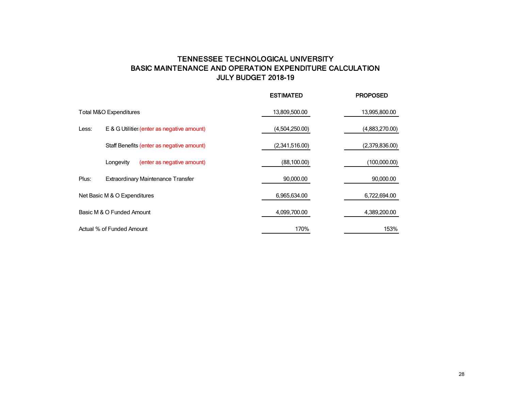# TENNESSEE TECHNOLOGICAL UNIVERSITY BASIC MAINTENANCE AND OPERATION EXPENDITURE CALCULATION JULY BUDGET 2018-19

|       |                                            | <b>ESTIMATED</b> | <b>PROPOSED</b> |
|-------|--------------------------------------------|------------------|-----------------|
|       | Total M&O Expenditures                     | 13,809,500.00    | 13,995,800.00   |
| Less: | E & G Utilitie: (enter as negative amount) | (4,504,250.00)   | (4,883,270.00)  |
|       | Staff Benefits (enter as negative amount)  | (2,341,516.00)   | (2,379,836.00)  |
|       | Longevity<br>(enter as negative amount)    | (88, 100.00)     | (100,000.00)    |
| Plus: | <b>Extraordinary Maintenance Transfer</b>  | 90,000.00        | 90,000.00       |
|       | Net Basic M & O Expenditures               | 6,965,634.00     | 6,722,694.00    |
|       | Basic M & O Funded Amount                  | 4,099,700.00     | 4,389,200.00    |
|       | Actual % of Funded Amount                  | 170%             | 153%            |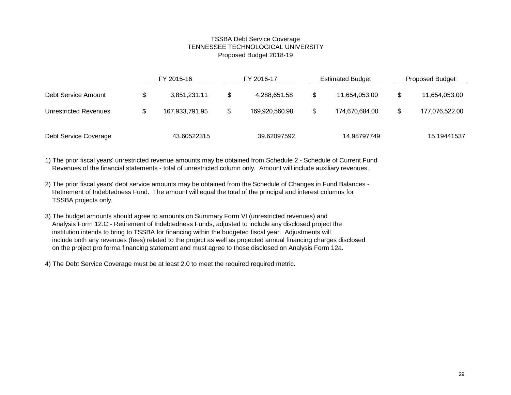## TSSBA Debt Service Coverage TENNESSEE TECHNOLOGICAL UNIVERSITY Proposed Budget 2018-19

|                       |                | FY 2015-16   |                | FY 2016-17   | <b>Estimated Budget</b> | <b>Proposed Budget</b> |                |  |
|-----------------------|----------------|--------------|----------------|--------------|-------------------------|------------------------|----------------|--|
| Debt Service Amount   | \$             | 3,851,231.11 | S              | 4,288,651.58 | \$<br>11,654,053.00     |                        | 11,654,053.00  |  |
| Unrestricted Revenues | 167,933,791.95 |              | 169,920,560.98 |              | \$<br>174,670,684.00    |                        | 177,076,522.00 |  |
| Debt Service Coverage |                | 43.60522315  |                | 39.62097592  | 14.98797749             |                        | 15.19441537    |  |

1) The prior fiscal years' unrestricted revenue amounts may be obtained from Schedule 2 - Schedule of Current Fund Revenues of the financial statements - total of unrestricted column only. Amount will include auxiliary revenues.

- 2) The prior fiscal years' debt service amounts may be obtained from the Schedule of Changes in Fund Balances Retirement of Indebtedness Fund. The amount will equal the total of the principal and interest columns for TSSBA projects only.
- 3) The budget amounts should agree to amounts on Summary Form VI (unrestricted revenues) and Analysis Form 12.C - Retirement of Indebtedness Funds, adjusted to include any disclosed project the institution intends to bring to TSSBA for financing within the budgeted fiscal year. Adjustments will include both any revenues (fees) related to the project as well as projected annual financing charges disclosed on the project pro forma financing statement and must agree to those disclosed on Analysis Form 12a.
- 4) The Debt Service Coverage must be at least 2.0 to meet the required required metric.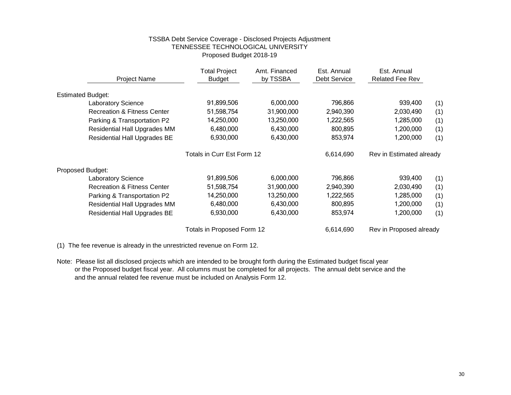## TSSBA Debt Service Coverage - Disclosed Projects Adjustment TENNESSEE TECHNOLOGICAL UNIVERSITY Proposed Budget 2018-19

| <b>Project Name</b>                    | <b>Total Project</b><br><b>Budget</b> | Amt. Financed<br>by TSSBA | Est. Annual<br>Debt Service | Est. Annual<br><b>Related Fee Rev</b> |     |
|----------------------------------------|---------------------------------------|---------------------------|-----------------------------|---------------------------------------|-----|
| <b>Estimated Budget:</b>               |                                       |                           |                             |                                       |     |
| <b>Laboratory Science</b>              | 91,899,506                            | 6,000,000                 | 796,866                     | 939,400                               | (1) |
| <b>Recreation &amp; Fitness Center</b> | 51,598,754                            | 31,900,000                | 2,940,390                   | 2,030,490                             | (1) |
| Parking & Transportation P2            | 14,250,000                            | 13,250,000                | 1,222,565                   | 1,285,000                             | (1) |
| Residential Hall Upgrades MM           | 6,480,000                             | 6,430,000                 | 800,895                     | 1,200,000                             | (1) |
| <b>Residential Hall Upgrades BE</b>    | 6,930,000                             | 6,430,000                 | 853,974                     | 1,200,000                             | (1) |
|                                        | Totals in Curr Est Form 12            |                           | 6,614,690                   | Rev in Estimated already              |     |
| Proposed Budget:                       |                                       |                           |                             |                                       |     |
| <b>Laboratory Science</b>              | 91,899,506                            | 6,000,000                 | 796,866                     | 939,400                               | (1) |
| <b>Recreation &amp; Fitness Center</b> | 51,598,754                            | 31,900,000                | 2,940,390                   | 2,030,490                             | (1) |
| Parking & Transportation P2            | 14,250,000                            | 13,250,000                | 1,222,565                   | 1,285,000                             | (1) |
| <b>Residential Hall Upgrades MM</b>    | 6,480,000                             | 6,430,000                 | 800,895                     | 1,200,000                             | (1) |
| <b>Residential Hall Upgrades BE</b>    | 6,930,000                             | 6,430,000                 | 853,974                     | 1,200,000                             | (1) |
|                                        | Totals in Proposed Form 12            |                           | 6,614,690                   | Rev in Proposed already               |     |

(1) The fee revenue is already in the unrestricted revenue on Form 12.

Note: Please list all disclosed projects which are intended to be brought forth during the Estimated budget fiscal year or the Proposed budget fiscal year. All columns must be completed for all projects. The annual debt service and the and the annual related fee revenue must be included on Analysis Form 12.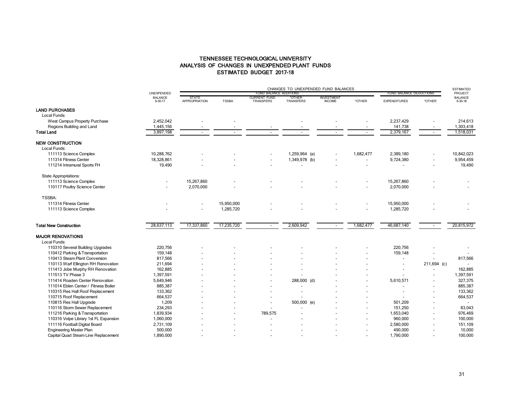## TENNESSEE TECHNOLOGICAL UNIVERSITY ANALYSIS OF CHANGES IN UNEXPENDED PLANT FUNDS ESTIMATED BUDGET 2017-18

|                                       |                           |                               | CHANGES TO UNEXPENDED FUND BALANCES |                                         |                            |                                    |                          |                         |                          |                           |
|---------------------------------------|---------------------------|-------------------------------|-------------------------------------|-----------------------------------------|----------------------------|------------------------------------|--------------------------|-------------------------|--------------------------|---------------------------|
|                                       | UNEXPENDED                |                               |                                     | FUND BALANCE ADDITIONS                  |                            |                                    |                          | FUND BALANCE DEDUCTIONS | PROJECT                  |                           |
|                                       | <b>BALANCE</b><br>6-30-17 | STATE<br><b>APPROPRIATION</b> | <b>TSSBA</b>                        | <b>CURRENT FUND</b><br><b>TRANSFERS</b> | *OTHER<br><b>TRANSFERS</b> | <b>INVESTMENT</b><br><b>INCOME</b> | *OTHER                   | <b>EXPENDITURES</b>     | *OTHER                   | <b>BALANCE</b><br>6-30-18 |
| <b>LAND PURCHASES</b>                 |                           |                               |                                     |                                         |                            |                                    |                          |                         |                          |                           |
| Local Funds:                          |                           |                               |                                     |                                         |                            |                                    |                          |                         |                          |                           |
| West Campus Property Purchase         | 2,452,042                 |                               |                                     |                                         |                            |                                    |                          | 2,237,429               |                          | 214,613                   |
| Regions Building and Land             | 1,445,156                 |                               |                                     |                                         |                            |                                    |                          | 141,738                 |                          | 1,303,418                 |
| <b>Total Land</b>                     | 3,897,198                 | $\overline{\phantom{a}}$      | $\overline{a}$                      | $\overline{a}$                          |                            |                                    | $\overline{\phantom{a}}$ | 2,379,167               | $\sim$                   | 1,518,031                 |
| <b>NEW CONSTRUCTION</b>               |                           |                               |                                     |                                         |                            |                                    |                          |                         |                          |                           |
| Local Funds:                          |                           |                               |                                     |                                         |                            |                                    |                          |                         |                          |                           |
| 111113 Science Complex                | 10,288,762                |                               |                                     |                                         | 1,259,964 (a)              |                                    | 1,682,477                | 2,389,180               |                          | 10,842,023                |
| 111314 Fitness Center                 | 18,328,861                |                               |                                     |                                         | 1,349,978 (b)              |                                    | $\blacksquare$           | 9,724,380               | $\overline{\phantom{a}}$ | 9,954,459                 |
| 111214 Intramural Sports FH           | 19,490                    |                               |                                     |                                         |                            |                                    | $\overline{a}$           |                         | $\overline{\phantom{a}}$ | 19,490                    |
| <b>State Appropriations:</b>          |                           |                               |                                     |                                         |                            |                                    |                          |                         |                          |                           |
| 111113 Science Complex                | $\overline{\phantom{a}}$  | 15,267,860                    |                                     |                                         |                            |                                    |                          | 15,267,860              |                          |                           |
| 110117 Poultry Science Center         |                           | 2,070,000                     |                                     |                                         |                            |                                    |                          | 2,070,000               |                          |                           |
| TSSBA:                                |                           |                               |                                     |                                         |                            |                                    |                          |                         |                          |                           |
| 111314 Fitness Center                 |                           | $\overline{\phantom{a}}$      | 15.950.000                          |                                         |                            |                                    |                          | 15,950,000              |                          |                           |
| 111113 Science Complex                |                           | $\overline{a}$                | 1,285,720                           |                                         |                            |                                    |                          | 1,285,720               |                          |                           |
| <b>Total New Construction</b>         | 28,637,113                | 17,337,860                    | 17,235,720                          | $\overline{\phantom{a}}$                | 2,609,942                  | $\overline{\phantom{a}}$           | 1,682,477                | 46,687,140              | $\sim$                   | 20,815,972                |
| <b>MAJOR RENOVATIONS</b>              |                           |                               |                                     |                                         |                            |                                    |                          |                         |                          |                           |
| Local Funds:                          |                           |                               |                                     |                                         |                            |                                    |                          |                         |                          |                           |
| 110310 Several Building Upgrades      | 220,756                   |                               |                                     |                                         |                            |                                    |                          | 220,756                 |                          |                           |
| 110412 Parking & Transportation       | 159.148                   |                               |                                     |                                         |                            |                                    |                          | 159,148                 |                          |                           |
| 110413 Steam Plant Conversion         | 817,566                   |                               |                                     |                                         |                            |                                    |                          |                         |                          | 817,566                   |
| 110113 Warf Ellington RH Renovation   | 211,694                   |                               |                                     |                                         |                            |                                    |                          |                         | 211,694 (c)              |                           |
| 111413 Jobe Murphy RH Renovation      | 162,885                   |                               |                                     |                                         |                            |                                    |                          |                         |                          | 162,885                   |
| 111513 TV Phase 3                     | 1,397,591                 |                               |                                     |                                         |                            |                                    |                          |                         |                          | 1,397,591                 |
| 111414 Roaden Center Renovation       | 5,649,946                 |                               |                                     |                                         | 288,000 (d)                |                                    |                          | 5,610,571               |                          | 327,375                   |
| 111014 Eblen Center / Fitness Boiler  | 885,387                   |                               |                                     | $\overline{\phantom{a}}$                |                            |                                    |                          |                         | $\overline{\phantom{a}}$ | 885,387                   |
| 110315 Res Hall Roof Replacement      | 133,362                   |                               |                                     |                                         |                            |                                    |                          |                         |                          | 133,362                   |
| 110715 Roof Replacement               | 664,537                   |                               |                                     |                                         |                            |                                    |                          |                         |                          | 664,537                   |
| 110815 Res Hall Upgrade               | 1,209                     |                               |                                     | $\overline{\phantom{a}}$                | 500,000 (e)                |                                    |                          | 501,209                 |                          | $\overline{a}$            |
| 110116 Storm Sewer Replacement        | 234,293                   |                               |                                     | $\blacksquare$                          |                            |                                    |                          | 151,250                 | $\overline{\phantom{0}}$ | 83,043                    |
| 111216 Parking & Transportation       | 1,839,934                 |                               |                                     | 789,575                                 |                            |                                    |                          | 1,653,040               |                          | 976,469                   |
| 110316 Volpe Library 1st FL Expansion | 1,060,000                 |                               |                                     |                                         |                            |                                    |                          | 960,000                 |                          | 100,000                   |
| 111116 Football Digital Board         | 2,731,109                 |                               |                                     |                                         |                            |                                    |                          | 2,580,000               |                          | 151,109                   |
| <b>Engineering Master Plan</b>        | 500,000                   |                               |                                     |                                         |                            |                                    |                          | 490,000                 |                          | 10,000                    |
| Capital Quad Steam Line Replacement   | 1,890,000                 |                               |                                     |                                         |                            |                                    |                          | 1,790,000               |                          | 100,000                   |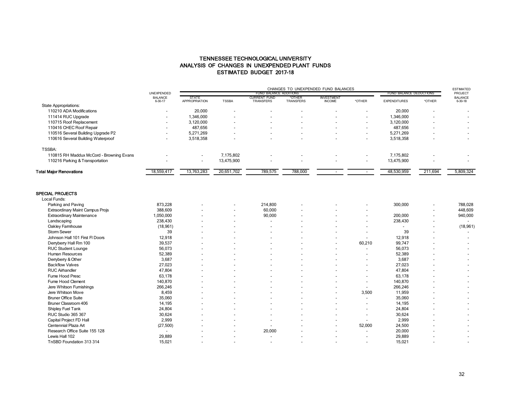## TENNESSEE TECHNOLOGICAL UNIVERSITY ANALYSIS OF CHANGES IN UNEXPENDED PLANT FUNDS ESTIMATED BUDGET 2017-18

|                                          |                           | CHANGES TO UNEXPENDED FUND BALANCES  |                          |                                         |                            |                                    |                          |                         |                          | <b>ESTIMATED</b>          |
|------------------------------------------|---------------------------|--------------------------------------|--------------------------|-----------------------------------------|----------------------------|------------------------------------|--------------------------|-------------------------|--------------------------|---------------------------|
|                                          | UNEXPENDED                |                                      |                          | FUND BALANCE ADDITIONS                  |                            |                                    |                          | FUND BALANCE DEDUCTIONS |                          | PROJECT                   |
|                                          | <b>BALANCE</b><br>6-30-17 | <b>STATE</b><br><b>APPROPRIATION</b> | <b>TSSBA</b>             | <b>CURRENT FUND</b><br><b>TRANSFERS</b> | *OTHER<br><b>TRANSFERS</b> | <b>INVESTMENT</b><br><b>INCOME</b> | *OTHER                   | <b>EXPENDITURES</b>     | *OTHER                   | <b>BALANCE</b><br>6-30-18 |
| State Appropriations:                    |                           |                                      |                          |                                         |                            |                                    |                          |                         |                          |                           |
| 110210 ADA Modifications                 |                           | 20,000                               |                          | $\sim$                                  | $\overline{\phantom{a}}$   | $\,$                               | $\overline{\phantom{a}}$ | 20,000                  | $\overline{\phantom{a}}$ |                           |
| 111414 RUC Upgrade                       |                           | 1.346.000                            |                          | $\overline{\phantom{0}}$                | $\sim$                     | $\overline{\phantom{a}}$           | $\overline{\phantom{a}}$ | 1.346.000               | $\overline{\phantom{a}}$ | $\overline{\phantom{0}}$  |
| 110715 Roof Replacement                  |                           | 3.120.000                            | $\overline{\phantom{a}}$ | $\sim$                                  | $\sim$                     | $\overline{\phantom{0}}$           | $\overline{\phantom{a}}$ | 3.120.000               | $\overline{\phantom{a}}$ | $\overline{\phantom{0}}$  |
| 110416 CHEC Roof Repair                  |                           | 487,656                              |                          | $\overline{\phantom{0}}$                | $\overline{\phantom{a}}$   | $\overline{\phantom{0}}$           | $\overline{\phantom{0}}$ | 487,656                 | $\overline{\phantom{0}}$ | $\overline{\phantom{0}}$  |
| 110516 Several Building Upgrade P2       |                           | 5.271.269                            |                          | $\overline{\phantom{a}}$                | $\sim$                     | $\overline{\phantom{a}}$           | $\overline{\phantom{a}}$ | 5.271.269               | $\overline{\phantom{0}}$ | $\overline{\phantom{a}}$  |
| 110616 Several Building Waterproof       | $\overline{\phantom{a}}$  | 3,518,358                            |                          |                                         | $\sim$                     | $\overline{\phantom{0}}$           | $\overline{\phantom{a}}$ | 3,518,358               | $\overline{\phantom{0}}$ | $\sim$                    |
| TSSBA:                                   |                           |                                      |                          |                                         |                            |                                    |                          |                         |                          |                           |
| 110815 RH Maddux McCord - Browning Evans |                           | $\overline{\phantom{0}}$             | 7.175.802                |                                         | $\sim$                     | $\overline{\phantom{0}}$           | $\overline{\phantom{a}}$ | 7.175.802               | $\overline{\phantom{0}}$ |                           |
| 110216 Parking & Transportation          | $\overline{\phantom{a}}$  | $\overline{\phantom{a}}$             | 13,475,900               | $\sim$                                  | $\sim$                     | $\overline{\phantom{a}}$           | $\overline{\phantom{a}}$ | 13,475,900              | $\overline{\phantom{0}}$ | $\overline{\phantom{0}}$  |
| <b>Total Major Renovations</b>           | 18,559,417                | 13,763,283                           | 20,651,702               | 789,575                                 | 788,000                    |                                    | $\,$                     | 48,530,959              | 211,694                  | 5,809,324                 |

#### SPECIAL PROJECTS

| Local Funds:                            |                          |                          |                          |         |                |                          |                          |                          |                          |           |
|-----------------------------------------|--------------------------|--------------------------|--------------------------|---------|----------------|--------------------------|--------------------------|--------------------------|--------------------------|-----------|
| Parking and Paving                      | 873,228                  |                          | $\overline{\phantom{a}}$ | 214,800 |                |                          | $\overline{\phantom{a}}$ | 300,000                  |                          | 788,028   |
| <b>Extraordinary Maint Campus Projs</b> | 388,609                  | $\overline{\phantom{0}}$ | $\overline{\phantom{a}}$ | 60,000  | $\blacksquare$ | $\blacksquare$           | $\overline{\phantom{a}}$ |                          |                          | 448,609   |
| <b>Extraordinary Maintenance</b>        | 1,050,000                | $\overline{\phantom{0}}$ | $\overline{\phantom{a}}$ | 90,000  |                |                          | $\overline{\phantom{a}}$ | 200,000                  | $\overline{\phantom{a}}$ | 940,000   |
| Landscaping                             | 238,430                  |                          | $\overline{\phantom{a}}$ |         |                |                          | $\overline{\phantom{a}}$ | 238,430                  | $\overline{\phantom{a}}$ |           |
| Oakley Farmhouse                        | (18, 961)                |                          | $\overline{\phantom{0}}$ |         |                |                          | $\overline{\phantom{a}}$ | $\overline{\phantom{a}}$ | $\overline{\phantom{a}}$ | (18, 961) |
| Storm Sewer                             | 39                       |                          | $\overline{\phantom{0}}$ |         |                |                          |                          | 39                       |                          |           |
| Johnson Hall 101 First FI Doors         | 12,918                   |                          | $\overline{\phantom{a}}$ |         |                | $\overline{\phantom{a}}$ | $\overline{\phantom{a}}$ | 12,918                   |                          |           |
| Denybeny Hall Rm 100                    | 39,537                   |                          | $\overline{\phantom{0}}$ |         |                | $\overline{\phantom{a}}$ | 60,210                   | 99,747                   |                          |           |
| <b>RUC Student Lounge</b>               | 56,073                   |                          | $\overline{\phantom{a}}$ |         |                |                          | $\overline{\phantom{a}}$ | 56,073                   |                          |           |
| Human Resources                         | 52,389                   |                          | $\overline{\phantom{a}}$ |         |                |                          | $\blacksquare$           | 52,389                   |                          |           |
| Denybeny & Other                        | 3,687                    |                          | $\overline{\phantom{a}}$ |         |                |                          | $\overline{\phantom{a}}$ | 3,687                    |                          |           |
| <b>Backflow Valves</b>                  | 27,023                   | $\overline{\phantom{0}}$ | $\overline{\phantom{0}}$ |         |                |                          | $\overline{\phantom{a}}$ | 27,023                   |                          |           |
| <b>RUC Airhandler</b>                   | 47,804                   |                          | $\overline{\phantom{0}}$ |         |                |                          | $\overline{\phantom{a}}$ | 47,804                   |                          |           |
| Fume Hood Presc                         | 63,178                   |                          | $\overline{\phantom{a}}$ |         |                |                          | $\overline{\phantom{a}}$ | 63,178                   |                          |           |
| Fume Hood Clement                       | 140,870                  |                          | $\overline{\phantom{0}}$ |         |                |                          | $\overline{\phantom{a}}$ | 140,870                  |                          |           |
| Jere Whitson Furnishings                | 266,246                  |                          | $\overline{\phantom{a}}$ |         |                | $\overline{\phantom{0}}$ | $\overline{\phantom{a}}$ | 266,246                  |                          |           |
| Jere Whitson Move                       | 8,459                    | $\overline{\phantom{0}}$ | $\overline{\phantom{a}}$ |         |                | $\overline{\phantom{a}}$ | 3,500                    | 11,959                   |                          |           |
| <b>Bruner Office Suite</b>              | 35,060                   |                          | $\overline{\phantom{a}}$ |         |                |                          | $\overline{\phantom{a}}$ | 35,060                   |                          |           |
| Bruner Classroom 406                    | 14,195                   |                          | $\overline{\phantom{a}}$ |         |                |                          | $\blacksquare$           | 14,195                   |                          |           |
| Shipley Fuel Tank                       | 24,804                   |                          | $\overline{\phantom{0}}$ |         |                |                          | $\overline{\phantom{a}}$ | 24,804                   |                          |           |
| RUC Studio 365 367                      | 30,624                   |                          | $\overline{\phantom{0}}$ |         |                |                          | $\overline{\phantom{a}}$ | 30,624                   |                          |           |
| Capital Project FD Hall                 | 2,999                    |                          | $\overline{\phantom{0}}$ |         |                |                          |                          | 2,999                    |                          |           |
| Centennial Plaza Art                    | (27, 500)                |                          | $\overline{\phantom{a}}$ |         |                | $\overline{\phantom{a}}$ | 52,000                   | 24,500                   |                          |           |
| Research Office Suite 155 128           | $\overline{\phantom{a}}$ |                          | $\overline{\phantom{a}}$ | 20,000  |                | $\blacksquare$           | $\overline{\phantom{a}}$ | 20,000                   |                          |           |
| Lewis Hall 102                          | 29,889                   |                          | $\overline{\phantom{0}}$ |         |                |                          | $\overline{\phantom{a}}$ | 29,889                   |                          |           |
| TnSBD Foundation 313 314                | 15,021                   |                          | $\overline{\phantom{0}}$ |         |                |                          | $\overline{\phantom{a}}$ | 15,021                   |                          |           |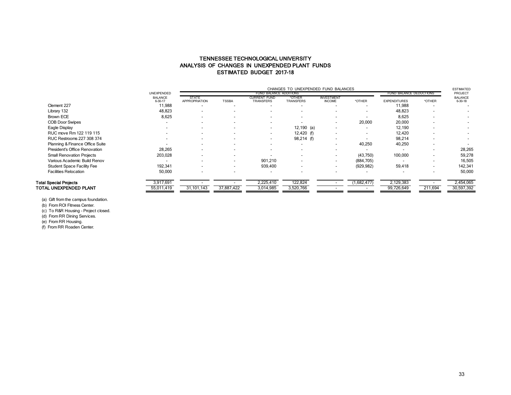## TENNESSEE TECHNOLOGICAL UNIVERSITY ANALYSIS OF CHANGES IN UNEXPENDED PLANT FUNDS ESTIMATED BUDGET 2017-18

|                                   |                           |                          | CHANGES TO UNEXPENDED FUND BALANCES |                           |                            |                                    |                          |                         |                          |                           |  |
|-----------------------------------|---------------------------|--------------------------|-------------------------------------|---------------------------|----------------------------|------------------------------------|--------------------------|-------------------------|--------------------------|---------------------------|--|
|                                   | <b>UNEXPENDED</b>         |                          |                                     | FUND BALANCE ADDITIONS    |                            |                                    |                          | FUND BALANCE DEDUCTIONS |                          | PROJECT                   |  |
|                                   | <b>BALANCE</b><br>6-30-17 | STATE<br>APPROPRIATION   | <b>TSSBA</b>                        | CURRENT FUND<br>TRANSFERS | *OTHER<br><b>TRANSFERS</b> | <b>INVESTMENT</b><br><b>INCOME</b> | *OTHER                   | <b>EXPENDITURES</b>     | *OTHER                   | <b>BALANCE</b><br>6-30-18 |  |
| Clement 227                       | 11,988                    |                          |                                     |                           |                            |                                    |                          | 11,988                  |                          |                           |  |
| Library 132                       | 48,823                    |                          |                                     |                           |                            |                                    |                          | 48,823                  |                          |                           |  |
| Brown ECE                         | 8,625                     |                          |                                     |                           |                            |                                    |                          | 8,625                   |                          |                           |  |
| <b>COB Door Swipes</b>            |                           | $\overline{\phantom{a}}$ |                                     | $\overline{\phantom{a}}$  |                            | $\overline{\phantom{a}}$           | 20,000                   | 20,000                  |                          |                           |  |
| Eagle Display                     |                           | $\overline{\phantom{a}}$ |                                     | $\overline{\phantom{a}}$  | $12,190$ (a)               | $\overline{\phantom{a}}$           | $\overline{\phantom{a}}$ | 12,190                  |                          |                           |  |
| RUC move Rm 122 119 115           |                           | $\overline{\phantom{a}}$ |                                     | $\overline{\phantom{a}}$  | $12,420$ (f)               |                                    | $\overline{\phantom{a}}$ | 12,420                  |                          |                           |  |
| RUC Restrooms 227 308 374         | $\overline{\phantom{a}}$  | $\overline{\phantom{a}}$ |                                     | $\overline{\phantom{a}}$  | 98,214 (f)                 | $\overline{\phantom{a}}$           |                          | 98,214                  |                          |                           |  |
| Planning & Finance Office Suite   |                           | $\overline{\phantom{a}}$ |                                     | $\overline{\phantom{a}}$  |                            | $\overline{\phantom{a}}$           | 40,250                   | 40,250                  |                          |                           |  |
| President's Office Renovation     | 28,265                    | $\overline{\phantom{a}}$ |                                     |                           |                            |                                    |                          |                         |                          | 28,265                    |  |
| <b>Small Renovation Projects</b>  | 203,028                   | $\overline{\phantom{a}}$ |                                     |                           | $\overline{\phantom{0}}$   | $\overline{\phantom{a}}$           | (43,750)                 | 100,000                 | $\overline{\phantom{0}}$ | 59,278                    |  |
| Various Academic Build Renov      |                           | $\overline{\phantom{a}}$ |                                     | 901,210                   | $\sim$                     | $\overline{\phantom{a}}$           | (884, 705)               |                         |                          | 16,505                    |  |
| <b>Student Space Facility Fee</b> | 192,341                   | $\overline{\phantom{a}}$ |                                     | 939,400                   |                            | $\overline{\phantom{a}}$           | (929, 982)               | 59,418                  | $\overline{\phantom{a}}$ | 142,341                   |  |
| <b>Facilities Relocation</b>      | 50,000                    | $\overline{\phantom{a}}$ |                                     |                           |                            |                                    |                          |                         |                          | 50,000                    |  |
| <b>Total Special Projects</b>     | 3,917,691                 |                          |                                     | 2,225,410                 | 122,824                    |                                    | (1,682,477)              | 2,129,383               |                          | 2,454,065                 |  |
| TOTAL UNEXPENDED PLANT            | 55,011,419                | 31,101,143               | 37,887,422                          | 3,014,985                 | 3,520,766                  |                                    |                          | 99,726,649              | 211,694                  | 30,597,392                |  |
|                                   |                           |                          |                                     |                           |                            |                                    |                          |                         |                          |                           |  |

(a) Gift from the campus foundation.

(b) From ROI Fitness Center.

(c) To R&R Housing - Project closed.

(d) From RR Dining Services.

(e) From RR Housing.

(f) From RR Roaden Center.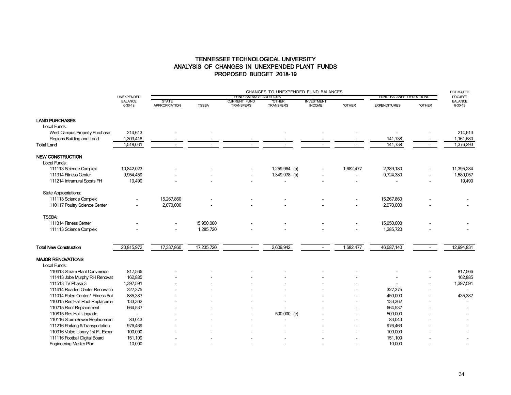## TENNESSEE TECHNOLOGICAL UNIVERSITY ANALYSIS OF CHANGES IN UNEXPENDED PLANT FUNDS PROPOSED BUDGET 2018-19

|                                          |                           | CHANGES TO UNEXPENDED FUND BALANCES  |              |                                         |                            |                                    |                |                         |        | <b>ESTIMATED</b>          |
|------------------------------------------|---------------------------|--------------------------------------|--------------|-----------------------------------------|----------------------------|------------------------------------|----------------|-------------------------|--------|---------------------------|
|                                          | UNEXPENDED                |                                      |              | FUND BALANCE ADDITIONS                  |                            |                                    |                | FUND BALANCE DEDUCTIONS |        | <b>PROJECT</b>            |
|                                          | <b>BALANCE</b><br>6-30-18 | <b>STATE</b><br><b>APPROPRIATION</b> | <b>TSSBA</b> | <b>CURRENT FUND</b><br><b>TRANSFERS</b> | *OTHER<br><b>TRANSFERS</b> | <b>INVESTMENT</b><br><b>INCOME</b> | *OTHER         | <b>EXPENDITURES</b>     | *OTHER | <b>BALANCE</b><br>6-30-19 |
| <b>LAND PURCHASES</b>                    |                           |                                      |              |                                         |                            |                                    |                |                         |        |                           |
| Local Funds:                             |                           |                                      |              |                                         |                            |                                    |                |                         |        |                           |
| West Campus Property Purchase            | 214,613                   |                                      |              |                                         |                            |                                    |                |                         |        | 214,613                   |
| Regions Building and Land                | 1,303,418                 |                                      |              |                                         |                            |                                    |                | 141,738                 |        | 1,161,680                 |
| Total Land                               | 1,518,031                 |                                      |              |                                         |                            |                                    |                | 141,738                 |        | 1,376,293                 |
| <b>NEW CONSTRUCTION</b>                  |                           |                                      |              |                                         |                            |                                    |                |                         |        |                           |
| Local Funds:                             |                           |                                      |              |                                         |                            |                                    |                |                         |        |                           |
| 111113 Science Complex                   | 10,842,023                |                                      |              |                                         | $1,259,964$ (a)            |                                    | 1,682,477      | 2,389,180               |        | 11,395,284                |
| 111314 Fitness Center                    | 9,954,459                 |                                      |              |                                         | 1,349,978 (b)              |                                    | $\blacksquare$ | 9,724,380               |        | 1,580,057                 |
| 111214 Intramural Sports FH              | 19,490                    |                                      |              |                                         |                            |                                    |                |                         |        | 19,490                    |
| State Appropriations:                    |                           |                                      |              |                                         |                            |                                    |                |                         |        |                           |
| 111113 Science Complex                   |                           | 15,267,860                           |              |                                         |                            |                                    |                | 15,267,860              |        |                           |
| 110117 Poultry Science Center            |                           | 2,070,000                            |              |                                         |                            |                                    |                | 2,070,000               |        |                           |
| <b>TSSBA:</b>                            |                           |                                      |              |                                         |                            |                                    |                |                         |        |                           |
| 111314 Fitness Center                    |                           |                                      | 15,950,000   |                                         |                            |                                    |                | 15,950,000              |        |                           |
| 111113 Science Complex                   |                           |                                      | 1,285,720    |                                         |                            |                                    |                | 1,285,720               |        |                           |
| <b>Total New Construction</b>            | 20,815,972                | 17,337,860                           | 17,235,720   | $\blacksquare$                          | 2,609,942                  | $\sim$                             | 1,682,477      | 46,687,140              |        | 12,994,831                |
|                                          |                           |                                      |              |                                         |                            |                                    |                |                         |        |                           |
| <b>MAJOR RENOVATIONS</b><br>Local Funds: |                           |                                      |              |                                         |                            |                                    |                |                         |        |                           |
| 110413 Steam Plant Conversion            | 817,566                   |                                      |              |                                         |                            |                                    |                |                         |        | 817,566                   |
| 111413 Jobe Murphy RH Renovat            | 162,885                   |                                      |              |                                         |                            |                                    |                |                         |        | 162,885                   |
| 111513 TV Phase 3                        | 1,397,591                 |                                      |              |                                         |                            |                                    |                |                         |        | 1,397,591                 |
| 111414 Roaden Center Renovatio           | 327,375                   |                                      |              |                                         |                            |                                    |                | 327,375                 |        |                           |
| 111014 Eblen Center / Fitness Boil       | 885,387                   |                                      |              |                                         |                            |                                    |                | 450,000                 |        | 435,387                   |
| 110315 Res Hall Roof Replacemer          | 133,362                   |                                      |              |                                         |                            |                                    |                | 133,362                 |        |                           |
| 110715 Roof Replacement                  | 664,537                   |                                      |              |                                         |                            |                                    |                | 664,537                 |        |                           |
| 110815 Res Hall Upgrade                  |                           |                                      |              |                                         | 500,000 $(c)$              |                                    |                | 500,000                 |        |                           |
| 110116 Storm Sewer Replacement           | 83,043                    |                                      |              |                                         |                            |                                    |                | 83,043                  |        |                           |
| 111216 Parking & Transportation          | 976,469                   |                                      |              |                                         |                            |                                    |                | 976,469                 |        |                           |
| 110316 Volpe Library 1st FL Expan        | 100,000                   |                                      |              |                                         |                            |                                    |                | 100,000                 |        |                           |
| 111116 Football Digital Board            | 151,109                   |                                      |              |                                         |                            |                                    |                | 151,109                 |        |                           |
| <b>Engineering Master Plan</b>           | 10,000                    |                                      |              |                                         |                            |                                    |                | 10,000                  |        |                           |
|                                          |                           |                                      |              |                                         |                            |                                    |                |                         |        |                           |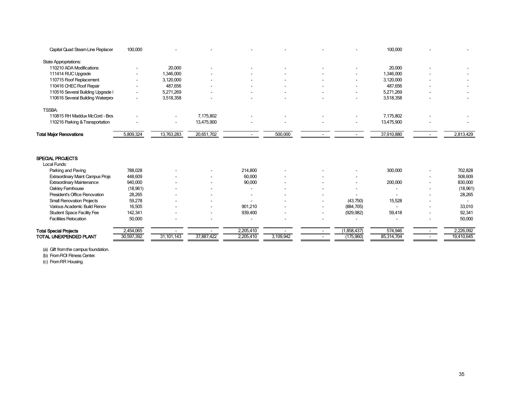| Capital Quad Steam Line Replacer        | 100,000    |              |            |           |           |                          | 100,000    |            |
|-----------------------------------------|------------|--------------|------------|-----------|-----------|--------------------------|------------|------------|
| <b>State Appropriations:</b>            |            |              |            |           |           |                          |            |            |
| 110210 ADA Modifications                |            | 20,000       |            |           |           |                          | 20,000     |            |
| 111414 RUC Upgrade                      |            | 1,346,000    |            |           |           |                          | 1,346,000  |            |
| 110715 Roof Replacement                 |            | 3,120,000    |            |           |           |                          | 3,120,000  |            |
| 110416 CHEC Roof Repair                 |            | 487,656      |            |           |           |                          | 487,656    |            |
| 110516 Several Building Upgrade I       |            | 5,271,269    |            |           |           |                          | 5,271,269  |            |
| 110616 Several Building Waterpro        |            | 3,518,358    |            |           |           |                          | 3,518,358  |            |
| <b>TSSBA:</b>                           |            |              |            |           |           |                          |            |            |
| 110815 RH Maddux McCord - Broy          |            |              | 7,175,802  |           |           |                          | 7,175,802  |            |
| 110216 Parking & Transportation         |            |              | 13,475,900 |           |           |                          | 13,475,900 |            |
| <b>Total Major Renovations</b>          | 5,809,324  | 13,763,283   | 20,651,702 |           | 500,000   |                          | 37,910,880 | 2,813,429  |
| <b>SPECIAL PROJECTS</b>                 |            |              |            |           |           |                          |            |            |
| Local Funds:                            |            |              |            |           |           |                          |            |            |
| Parking and Paving                      | 788,028    |              |            | 214.800   |           |                          | 300,000    | 702,828    |
| <b>Extraordinary Maint Campus Projs</b> | 448,609    |              |            | 60,000    |           |                          |            | 508,609    |
| <b>Extraordinary Maintenance</b>        | 940,000    |              |            | 90,000    |           | $\overline{\phantom{a}}$ | 200,000    | 830,000    |
| Oakley Famhouse                         | (18, 961)  |              |            | ٠         |           |                          |            | (18, 961)  |
| President's Office Renovation           | 28,265     |              |            | ٠         |           |                          |            | 28,265     |
| <b>Small Renovation Projects</b>        | 59,278     |              |            |           |           | (43,750)                 | 15,528     |            |
| Various Academic Build Renov            | 16,505     |              |            | 901.210   |           | (884, 705)               |            | 33,010     |
| <b>Student Space Facility Fee</b>       | 142,341    |              |            | 939,400   |           | (929, 982)               | 59,418     | 92,341     |
| <b>Facilities Relocation</b>            | 50,000     |              |            |           |           |                          |            | 50,000     |
| <b>Total Special Projects</b>           | 2,454,065  |              |            | 2,205,410 |           | (1,858,437)              | 574,946    | 2,226,092  |
| TOTAL UNEXPENDED PLANT                  | 30,597,392 | 31, 101, 143 | 37,887,422 | 2,205,410 | 3,109,942 | (175,960)                | 85,314,704 | 19,410,645 |

(a) Gift from the campus foundation.

(b) From ROI Fitness Center.

(c) From RR Housing.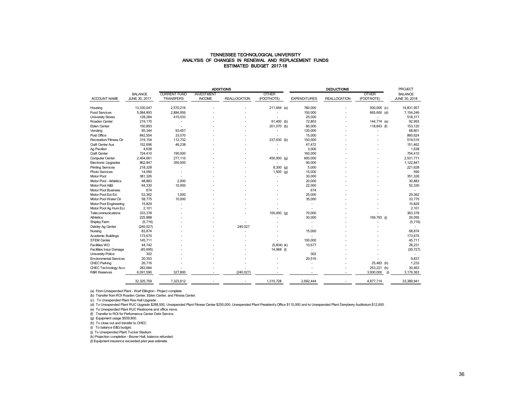#### TENNESSEE TECHNOLOGICAL UNIVERSITY ANALYSIS OF CHANGES IN RENEWAL AND REPLACEMENT FUNDS ESTIMATED BUDGET 2017-18

|                               |                |                     |                   | <b>ADDITIONS</b>    |               |                     | <b>PROJECT</b>      |                  |                |
|-------------------------------|----------------|---------------------|-------------------|---------------------|---------------|---------------------|---------------------|------------------|----------------|
|                               | <b>BALANCE</b> | <b>CURRENT FUND</b> | <b>INVESTMENT</b> |                     | <b>OTHER</b>  |                     |                     | <b>OTHER</b>     | <b>BALANCE</b> |
| ACCOUNT NAME                  | JUNE 30, 2017  | <b>TRANSFERS</b>    | <b>INCOME</b>     | <b>REALLOCATION</b> | (FOOTNOTE)    | <b>EXPENDITURES</b> | <b>REALLOCATION</b> | (FOOTNOTE)       | JUNE 30, 2018  |
|                               |                |                     |                   |                     |               |                     |                     |                  |                |
| Housing                       | 13,330,047     | 2,570,216           |                   |                     | 211,694 (a)   | 780,000             |                     | 500,000 (c)      | 14,831,957     |
| <b>Food Services</b>          | 5,084,893      | 2,884,956           |                   |                     |               | 150,000             |                     | 665,600 (d)      | 7,154,249      |
| <b>University Stores</b>      | 128,284        | 415,033             |                   |                     |               | 25,000              |                     |                  | 518,317        |
| Roaden Center                 | 219,170        |                     |                   |                     | 91,400 (b)    | 72,803              |                     | 144,774 (e)      | 92,993         |
| Eblen Center                  | 150,893        |                     |                   |                     | 201,070 (b)   | 80,000              |                     | 118,843 (f)      | 153,120        |
| Vending                       | 95,344         | 93,457              |                   |                     |               | 120,000             |                     |                  | 68,801         |
| Post Office                   | 842,554        | 33,070              |                   |                     |               | 15,000              |                     |                  | 860,624        |
| Recreation/Fitness Ctr        | 319,154        | 112,732             |                   |                     | 237,630 (b)   | 150,000             |                     |                  | 519,516        |
| Craft Center Aux              | 152,696        | 46,238              |                   |                     |               | 47,472              |                     |                  | 151,462        |
| Ag Pavilion                   | 4,638          |                     |                   |                     |               | 3,000               |                     |                  | 1,638          |
| Craft Center                  | 724,410        | 190,000             |                   |                     |               | 160,000             |                     |                  | 754,410        |
| <b>Computer Center</b>        | 2,404,661      | 277,110             |                   |                     | 450,000 (g)   | 600,000             |                     |                  | 2,531,771      |
| <b>Electronic Upgrades</b>    | 862,847        | 350,000             |                   |                     |               | 90,000              |                     |                  | 1,122,847      |
| <b>Printing Services</b>      | 218,328        |                     |                   |                     | 8,300 (g)     | 5,000               |                     |                  | 221,628        |
| Photo Services                | 14,090         |                     |                   |                     | $1,500$ (g)   | 15,000              |                     |                  | 590            |
| Motor Pool                    | 381,326        |                     |                   |                     |               | 30,000              |                     |                  | 351,326        |
| Motor Pool - Athletics        | 48.883         | 2.000               |                   |                     |               | 20,000              |                     |                  | 30.883         |
| Motor Pool A&S                | 64,330         | 10,000              |                   |                     |               | 22,000              |                     |                  | 52,330         |
| <b>Motor Pool Business</b>    | 674            |                     |                   |                     |               | 674                 |                     |                  |                |
| Motor Pool Ext Ed.            | 53,362         | 1.000               |                   |                     |               | 25,000              |                     |                  | 29,362         |
| Motor Pool Water Ctr          | 58,775         | 10,000              |                   |                     |               | 35,000              |                     |                  | 33,775         |
| Motor Pool Engineering        | 15,829         |                     |                   |                     |               |                     |                     |                  | 15,829         |
| Motor Pool Ag Hum Ecc         | 2,101          |                     |                   |                     |               |                     |                     |                  | 2,101          |
| Telecommunications            | 333,378        |                     |                   |                     | $100,000$ (g) | 70,000              |                     |                  | 363.378        |
| <b>Athletics</b>              | 225,888        |                     |                   |                     |               | 30,000              |                     | 169,793 (j)      | 26,095         |
| Shipley Farm                  | (5,716)        |                     |                   |                     |               | $\overline{a}$      |                     |                  | (5,716)        |
| Oakley Ag Center              | (240, 027)     |                     |                   | 240.027             |               | $\blacksquare$      |                     |                  |                |
| Nursing                       | 83,874         |                     |                   |                     |               | 15,000              |                     |                  | 68,874         |
| Academic Buildings            | 173,670        |                     |                   |                     |               |                     |                     |                  | 173,670        |
| <b>STEM Center</b>            | 145,711        |                     |                   |                     |               | 100,000             |                     |                  | 45,711         |
| Facilities WO                 | 44.742         |                     |                   |                     | $(5,834)$ (k) | 10,677              |                     |                  | 28.231         |
| Facilities Insur Damage       | (45, 695)      |                     |                   |                     | $14,968$ (l)  |                     |                     |                  | (30, 727)      |
| University Police             | 302            |                     |                   |                     |               | 302                 |                     |                  |                |
| <b>Environmental Services</b> | 30,353         |                     |                   |                     |               | 20,516              |                     |                  | 9,837          |
| CHEC Parking                  | 26,716         |                     |                   |                     |               |                     |                     | 25,483 (h)       | 1,233          |
| CHEC Technology Acce          | 283,684        |                     |                   |                     |               |                     |                     | 253,221 (h)      | 30,463         |
| <b>R&amp;R Reserves</b>       | 6,091,590      | 327,800             |                   | (240, 027)          |               |                     |                     | 3,000,000<br>(i) | 3,179,363      |
|                               |                |                     |                   |                     |               |                     |                     |                  |                |
|                               | 32,325,759     | 7,323,612           |                   |                     | 1,310,728     | 2,692,444           |                     | 4,877,714        | 33,389,941     |

(a) From Unexpended Plant - Warf Ellington - Project complete.

(b) Transfer from ROI Roaden Center, Eblen Center, and Fitness Center.

(c) To Unexpended Plant Res Hall Upgrade

(d) To Unexpended Plant RUC Upgrade \$288,000, Unexpended Plant Fitness Center \$250,000, Unexpended Plant President's Office \$115,000 and to Unexpended Plant Denyberry Auditorium \$12,600.

(e) To Unexpended Plant RUC Restrooms and office move.

(f) Transfer to ROI for Performance Center Debr Service.

(g) Equipment usage \$559,800.

(h) To close out and transfer to CHEC.

(i) To balance E&G budget.

(j) To Unexpended Plant Tucker Stadium

(k) Projection completion - Bruner Hall, balance refunded.

(l) Equipment insurance exceeded prior year estimate.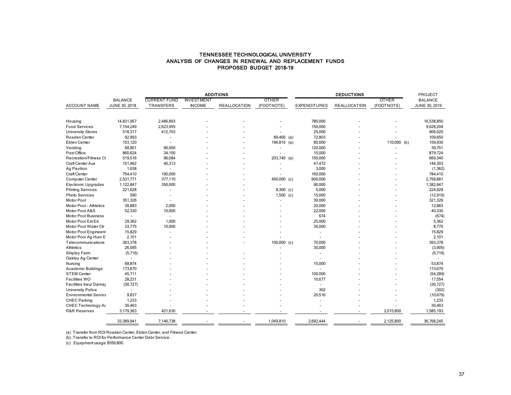#### ANALYSIS OF CHANGES IN RENEWAL AND REPLACEMENT FUNDS PROPOSED BUDGET 2018-19 TENNESSEE TECHNOLOGICAL UNIVERSITY

|                              |                |                      |                   | <b>ADDITIONS</b>    |               |                     | PROJECT             |              |                |
|------------------------------|----------------|----------------------|-------------------|---------------------|---------------|---------------------|---------------------|--------------|----------------|
|                              | <b>BALANCE</b> | <b>CURRENT FUND</b>  | <b>INVESTMENT</b> |                     | <b>OTHER</b>  |                     |                     | <b>OTHER</b> | <b>BALANCE</b> |
| <b>ACCOUNT NAME</b>          | JUNE 30, 2018  | TRANSFERS            | <b>INCOME</b>     | <b>REALLOCATION</b> | (FOOTNOTE)    | <b>EXPENDITURES</b> | <b>REALLOCATION</b> | (FOOTNOTE)   | JUNE 30, 2019  |
|                              |                |                      |                   |                     |               |                     |                     |              |                |
|                              |                |                      |                   |                     |               |                     |                     |              |                |
| Housing                      | 14,831,957     | 2,486,893            |                   |                     |               | 780,000             |                     |              | 16,538,850     |
| <b>Food Services</b>         | 7,154,249      | 2,623,955            |                   |                     |               | 150,000             |                     |              | 9,628,204      |
| University Stores            | 518,317        | 412,703              |                   |                     |               | 25,000              |                     |              | 906,020        |
| Roaden Center                | 92,993         |                      |                   |                     | 89,460 (a)    | 72,803              |                     |              | 109,650        |
| Eblen Center                 | 153,120        |                      |                   |                     | 196,810 (a)   | 80,000              |                     | 110,000 (b)  | 159,930        |
| Vending                      | 68,801         | 90,950               |                   |                     |               | 120,000             |                     |              | 39,751         |
| Post Office                  | 860,624        | 34,100               |                   |                     |               | 15,000              |                     |              | 879,724        |
| Recreation/Fitness Ct        | 519,516        | 96,084               |                   |                     | 203,740 (a)   | 150,000             |                     |              | 669,340        |
| Craft Center Aux             | 151,462        | 40,313               |                   |                     |               | 47,472              |                     |              | 144,303        |
| Ag Pavilion                  | 1,638          | ÷.                   |                   |                     |               | 3,000               |                     |              | (1, 362)       |
| Craft Center                 | 754,410        | 190,000              |                   |                     |               | 160,000             |                     |              | 784,410        |
| Computer Center              | 2,531,771      | 377,110              |                   |                     | 450,000 (c)   | 600,000             |                     |              | 2,758,881      |
| <b>Electronic Upgrades</b>   | 1,122,847      | 350,000              |                   |                     |               | 90,000              |                     |              | 1,382,847      |
| <b>Printing Services</b>     | 221,628        | ٠                    |                   |                     | 8,300 (c)     | 5,000               |                     |              | 224,928        |
| Photo Services               | 590            |                      |                   |                     | $1,500$ (c)   | 15,000              |                     |              | (12,910)       |
| Motor Pool                   | 351,326        | $\ddot{\phantom{1}}$ |                   |                     |               | 30,000              |                     |              | 321,326        |
| Motor Pool - Athletics       | 30,883         | 2,000                |                   |                     |               | 20,000              |                     |              | 12,883         |
| Motor Pool A&S               | 52,330         | 10,000               |                   |                     |               | 22,000              |                     |              | 40,330         |
| <b>Motor Pool Business</b>   | $\blacksquare$ | $\sim$               |                   |                     |               | 674                 |                     |              | (674)          |
| Motor Pool Ext Ed.           | 29,362         | 1,000                |                   |                     |               | 25,000              |                     |              | 5,362          |
| Motor Pool Water Ctr         | 33,775         | 10,000               |                   |                     |               | 35,000              |                     |              | 8,775          |
| Motor Pool Engineerin        | 15,829         |                      |                   |                     |               | ÷                   |                     |              | 15,829         |
| Motor Pool Ag Hum E          | 2,101          |                      |                   |                     |               | $\overline{a}$      |                     |              | 2,101          |
| Telecommunications           | 363,378        |                      |                   |                     | $100,000$ (c) | 70,000              |                     |              | 393,378        |
| Athletics                    | 26,095         |                      |                   |                     |               | 30,000              |                     |              | (3,905)        |
| Shipley Farm                 | (5,716)        |                      |                   |                     |               |                     |                     |              | (5,716)        |
| Oakley Ag Center             |                |                      |                   |                     |               | $\sim$              |                     |              |                |
| Nursing                      | 68,874         |                      |                   |                     |               | 15,000              |                     |              | 53,874         |
| <b>Academic Buildings</b>    | 173,670        |                      |                   |                     |               | ÷.                  |                     |              | 173,670        |
| <b>STEM Center</b>           | 45,711         |                      |                   |                     |               | 100,000             |                     |              | (54, 289)      |
| Facilities WO                | 28,231         |                      |                   |                     |               | 10,677              |                     |              | 17,554         |
| Facilities Insur Damag       | (30, 727)      |                      |                   |                     |               | $\sim$              |                     |              | (30, 727)      |
| <b>University Police</b>     | $\sim$         |                      |                   |                     |               | 302                 |                     |              | (302)          |
| <b>Environmental Service</b> | 9,837          |                      |                   |                     |               | 20,516              |                     |              | (10, 679)      |
| <b>CHEC Parking</b>          | 1,233          |                      |                   |                     |               |                     |                     |              | 1,233          |
| CHEC Technology Ac           | 30,463         |                      |                   |                     |               |                     |                     |              | 30,463         |
| <b>R&amp;R Reserves</b>      | 3,179,363      | 421,630              |                   |                     |               |                     |                     | 2,015,800    | 1,585,193      |
|                              |                |                      |                   |                     |               |                     |                     |              |                |
|                              | 33,389,941     | 7,146,738            |                   |                     | 1,049,810     | 2,692,444           |                     | 2,125,800    | 36,768,245     |

(a) Transfer from ROI Roaden Center, Eblen Center, and Fitness Center.

(b) Transfer to ROI for Performance Center Debr Service.

(c) Equipment usage \$559,800.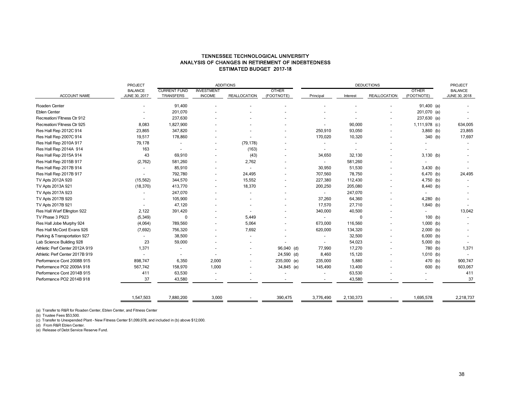#### TENNESSEE TECHNOLOGICAL UNIVERSITY ANALYSIS OF CHANGES IN RETIREMENT OF INDEBTEDNESS ESTIMATED BUDGET 2017-18

|                                | <b>PROJECT</b>                  | <b>ADDITIONS</b>                 |                                    |                     |                            |                          | PROJECT                  |                     |                            |                                 |
|--------------------------------|---------------------------------|----------------------------------|------------------------------------|---------------------|----------------------------|--------------------------|--------------------------|---------------------|----------------------------|---------------------------------|
| ACCOUNT NAME                   | <b>BALANCE</b><br>JUNE 30, 2017 | <b>CURRENT FUND</b><br>TRANSFERS | <b>INVESTMENT</b><br><b>INCOME</b> | <b>REALLOCATION</b> | <b>OTHER</b><br>(FOOTNOTE) | Principal                | Interest                 | <b>REALLOCATION</b> | <b>OTHER</b><br>(FOOTNOTE) | <b>BALANCE</b><br>JUNE 30, 2018 |
| Roaden Center                  |                                 | 91,400                           |                                    |                     |                            |                          |                          |                     | $91,400$ (a)               |                                 |
| <b>Eblen Center</b>            |                                 | 201,070                          |                                    |                     |                            |                          |                          |                     | 201,070 (a)                |                                 |
| Recreation/Fitness Ctr 912     |                                 | 237,630                          |                                    |                     |                            |                          |                          |                     | $237,630$ (a)              |                                 |
| Recreation/Fitness Ctr 925     | 8,083                           | 1,827,900                        |                                    |                     |                            |                          | 90,000                   |                     | 1,111,978 (c)              | 634,005                         |
| Res Hall Rep 2012C 914         | 23,865                          | 347,820                          |                                    |                     |                            | 250,910                  | 93,050                   |                     | $3,860$ (b)                | 23,865                          |
| Res Hall Rep 2007C 914         | 19,517                          | 178,860                          |                                    |                     |                            | 170,020                  | 10,320                   |                     | 340 (b)                    | 17,697                          |
| Res Hall Rep 2010A 917         | 79,178                          |                                  |                                    | (79, 178)           |                            | $\overline{\phantom{a}}$ | $\overline{\phantom{a}}$ |                     |                            |                                 |
| Res Hall Rep 2014A 914         | 163                             |                                  |                                    | (163)               |                            | $\overline{\phantom{a}}$ |                          |                     |                            |                                 |
| Res Hall Rep 2015A 914         | 43                              | 69,910                           |                                    | (43)                |                            | 34,650                   | 32,130                   |                     | $3,130$ (b)                |                                 |
| Res Hall Rep 2015B 917         | (2,762)                         | 581,260                          |                                    | 2,762               |                            | $\overline{\phantom{0}}$ | 581,260                  |                     |                            |                                 |
| Res Hall Rep 2017B 914         |                                 | 85,910                           |                                    |                     |                            | 30,950                   | 51,530                   |                     | $3,430$ (b)                |                                 |
| Res Hall Rep 2017B 917         |                                 | 792,780                          |                                    | 24,495              |                            | 707,560                  | 78,750                   |                     | 6,470 (b)                  | 24,495                          |
| TV Apts 2012A 920              | (15, 562)                       | 344,570                          |                                    | 15,552              |                            | 227,380                  | 112,430                  |                     | 4,750 (b)                  |                                 |
| TV Apts 2013A 921              | (18, 370)                       | 413,770                          |                                    | 18,370              |                            | 200,250                  | 205,080                  |                     | 8,440 (b)                  |                                 |
| TV Apts 2017A 923              |                                 | 247,070                          |                                    |                     |                            | $\blacksquare$           | 247,070                  |                     |                            |                                 |
| TV Apts 2017B 920              |                                 | 105,900                          |                                    |                     |                            | 37,260                   | 64,360                   |                     | $4,280$ (b)                |                                 |
| TV Apts 2017B 921              |                                 | 47,120                           |                                    |                     |                            | 17,570                   | 27,710                   |                     | $1,840$ (b)                |                                 |
| Res Hall Warf Ellington 922    | 2,122                           | 391,420                          |                                    |                     |                            | 340,000                  | 40,500                   |                     | $\overline{\phantom{a}}$   | 13,042                          |
| TV Phase 3 P923                | (5, 349)                        | 0                                |                                    | 5,449               |                            | $\overline{\phantom{a}}$ | 0                        |                     | $100$ (b)                  |                                 |
| Res Hall Jobe Murphy 924       | (4,064)                         | 789,560                          |                                    | 5,064               |                            | 673,000                  | 116,560                  |                     | $1,000$ (b)                |                                 |
| Res Hall McCord Evans 926      | (7,692)                         | 756,320                          |                                    | 7,692               |                            | 620,000                  | 134,320                  |                     | $2,000$ (b)                |                                 |
| Parking & Transportation 927   |                                 | 38,500                           |                                    |                     |                            | $\overline{\phantom{a}}$ | 32,500                   |                     | $6,000$ (b)                |                                 |
| Lab Science Building 928       | 23                              | 59,000                           |                                    |                     |                            | $\blacksquare$           | 54,023                   |                     | $5,000$ (b)                |                                 |
| Athletic Perf Center 2012A 919 | 1,371                           |                                  |                                    |                     | 96,040 (d)                 | 77,990                   | 17,270                   |                     | 780 (b)                    | 1,371                           |
| Athletic Perf Center 2017B 919 |                                 |                                  |                                    |                     | 24,590 (d)                 | 8,460                    | 15,120                   |                     | $1,010$ (b)                |                                 |
| Performance Cont 2008B 915     | 898,747                         | 6,350                            | 2,000                              |                     | 235,000 (e)                | 235,000                  | 5,880                    |                     | 470 (b)                    | 900,747                         |
| Performance PO2 2009A 918      | 567,742                         | 158,970                          | 1,000                              |                     | 34,845 (e)                 | 145,490                  | 13,400                   |                     | 600 (b)                    | 603,067                         |
| Performance Cont 2014B 915     | 411                             | 63,530                           |                                    |                     |                            |                          | 63,530                   |                     |                            | 411                             |
| Performance PO2 2014B 918      | 37                              | 43,580                           |                                    |                     |                            |                          | 43,580                   |                     |                            | 37                              |
|                                | 1,547,503                       | 7,880,200                        | 3,000                              |                     | 390,475                    | 3,776,490                | 2,130,373                | $\blacksquare$      | 1,695,578                  | 2,218,737                       |
|                                |                                 |                                  |                                    |                     |                            |                          |                          |                     |                            |                                 |

(a) Transfer to R&R for Roaden Center, Eblen Center, and Fitness Center

(b) Trustee Fees \$53,500.

(c) Transfer to Unexpended Plant - New Fitness Center \$1,099,978, and included in (b) above \$12,000.<br>(d) From R&R Eblen Center.<br>(e) Release of Debt Service Reserve Fund.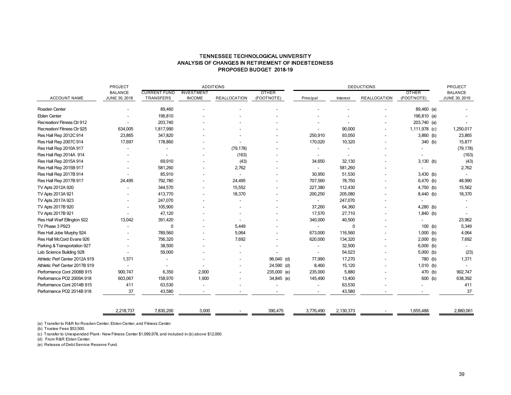### TENNESSEE TECHNOLOGICAL UNIVERSITY ANALYSIS OF CHANGES IN RETIREMENT OF INDEBTEDNESS PROPOSED BUDGET 2018-19

|                                | PROJECT                         |                                  | <b>ADDITIONS</b>                   |                     |                            | <b>DEDUCTIONS</b>        |             |                     |                            |  | PROJECT                         |  |
|--------------------------------|---------------------------------|----------------------------------|------------------------------------|---------------------|----------------------------|--------------------------|-------------|---------------------|----------------------------|--|---------------------------------|--|
| <b>ACCOUNT NAME</b>            | <b>BALANCE</b><br>JUNE 30, 2018 | <b>CURRENT FUND</b><br>TRANSFERS | <b>INVESTMENT</b><br><b>INCOME</b> | <b>REALLOCATION</b> | <b>OTHER</b><br>(FOOTNOTE) | Principal                | Interest    | <b>REALLOCATION</b> | <b>OTHER</b><br>(FOOTNOTE) |  | <b>BALANCE</b><br>JUNE 30, 2019 |  |
| Roaden Center                  |                                 | 89,460                           |                                    |                     |                            |                          |             |                     | 89,460 (a)                 |  |                                 |  |
| <b>Eblen Center</b>            |                                 | 196,810                          |                                    |                     |                            |                          |             |                     | 196,810 (a)                |  |                                 |  |
| Recreation/Fitness Ctr 912     |                                 | 203,740                          |                                    |                     |                            |                          |             |                     | 203,740 (a)                |  |                                 |  |
| Recreation/Fitness Ctr 925     | 634,005                         | 1,817,990                        |                                    |                     |                            |                          | 90,000      |                     | 1,111,978 (c)              |  | 1,250,017                       |  |
| Res Hall Rep 2012C 914         | 23,865                          | 347,820                          |                                    |                     |                            | 250,910                  | 93,050      |                     | $3,860$ (b)                |  | 23,865                          |  |
| Res Hall Rep 2007C 914         | 17,697                          | 178,860                          |                                    |                     |                            | 170,020                  | 10,320      |                     | 340 (b)                    |  | 15,877                          |  |
| Res Hall Rep 2010A 917         |                                 |                                  |                                    | (79, 178)           |                            | $\overline{\phantom{a}}$ |             |                     |                            |  | (79, 178)                       |  |
| Res Hall Rep 2014A 914         |                                 |                                  |                                    | (163)               |                            |                          |             |                     |                            |  | (163)                           |  |
| Res Hall Rep 2015A 914         |                                 | 69,910                           |                                    | (43)                |                            | 34,650                   | 32,130      |                     | $3,130$ (b)                |  | (43)                            |  |
| Res Hall Rep 2015B 917         |                                 | 581,260                          |                                    | 2,762               |                            |                          | 581,260     |                     |                            |  | 2,762                           |  |
| Res Hall Rep 2017B 914         |                                 | 85,910                           |                                    |                     |                            | 30,950                   | 51,530      |                     | 3,430 (b)                  |  |                                 |  |
| Res Hall Rep 2017B 917         | 24,495                          | 792,780                          |                                    | 24,495              |                            | 707,560                  | 78,750      |                     | 6,470 (b)                  |  | 48,990                          |  |
| TV Apts 2012A 920              |                                 | 344,570                          |                                    | 15,552              |                            | 227,380                  | 112,430     |                     | 4,750 (b)                  |  | 15,562                          |  |
| TV Apts 2013A 921              |                                 | 413,770                          |                                    | 18,370              |                            | 200,250                  | 205,080     |                     | 8,440 (b)                  |  | 18,370                          |  |
| TV Apts 2017A 923              |                                 | 247,070                          |                                    |                     |                            |                          | 247,070     |                     |                            |  |                                 |  |
| TV Apts 2017B 920              |                                 | 105,900                          |                                    |                     |                            | 37,260                   | 64,360      |                     | 4,280 (b)                  |  |                                 |  |
| TV Apts 2017B 921              |                                 | 47,120                           |                                    |                     |                            | 17,570                   | 27,710      |                     | 1,840 (b)                  |  |                                 |  |
| Res Hall Warf Ellington 922    | 13,042                          | 391,420                          |                                    |                     |                            | 340,000                  | 40,500      |                     |                            |  | 23,962                          |  |
| TV Phase 3 P923                |                                 | 0                                |                                    | 5,449               |                            |                          | $\mathbf 0$ |                     | $100$ (b)                  |  | 5,349                           |  |
| Res Hall Jobe Murphy 924       |                                 | 789,560                          |                                    | 5,064               |                            | 673,000                  | 116,560     |                     | $1,000$ (b)                |  | 4,064                           |  |
| Res Hall McCord Evans 926      |                                 | 756,320                          |                                    | 7,692               |                            | 620,000                  | 134,320     |                     | $2,000$ (b)                |  | 7,692                           |  |
| Parking & Transportation 927   |                                 | 38,500                           |                                    |                     |                            |                          | 32,500      |                     | $6,000$ (b)                |  |                                 |  |
| Lab Science Building 928       |                                 | 59,000                           |                                    |                     |                            |                          | 54,023      |                     | $5,000$ (b)                |  | (23)                            |  |
| Athletic Perf Center 2012A 919 | 1,371                           |                                  |                                    |                     | 96,040 (d)                 | 77,990                   | 17,270      |                     | 780 (b)                    |  | 1,371                           |  |
| Athletic Perf Center 2017B 919 |                                 |                                  |                                    |                     | 24,590 (d)                 | 8,460                    | 15,120      |                     | $1,010$ (b)                |  |                                 |  |
| Performance Cont 2008B 915     | 900,747                         | 6,350                            | 2,000                              |                     | 235,000 (e)                | 235,000                  | 5,880       |                     | 470 (b)                    |  | 902,747                         |  |
| Performance PO2 2009A 918      | 603,067                         | 158,970                          | 1,000                              |                     | 34,845 (e)                 | 145,490                  | 13,400      |                     | 600 (b)                    |  | 638,392                         |  |
| Performance Cont 2014B 915     | 411                             | 63,530                           |                                    |                     |                            |                          | 63,530      |                     |                            |  | 411                             |  |
| Performance PO2 2014B 918      | 37                              | 43,580                           |                                    |                     |                            |                          | 43,580      |                     |                            |  | 37                              |  |
|                                | 2,218,737                       | 7,830,200                        | 3,000                              |                     | 390,475                    | 3,776,490                | 2,130,373   |                     | 1,655,488                  |  | 2,880,061                       |  |

(a) Transfer to R&R for Roaden Center, Eblen Center, and Fitness Center

(b) Trustee Fees \$53,500.

(c) Transfer to Unexpended Plant - New Fitness Center \$1,099,978, and included in (b) above \$12,000.

(d) From R&R Eblen Center.

(e) Release of Debt Service Reserve Fund.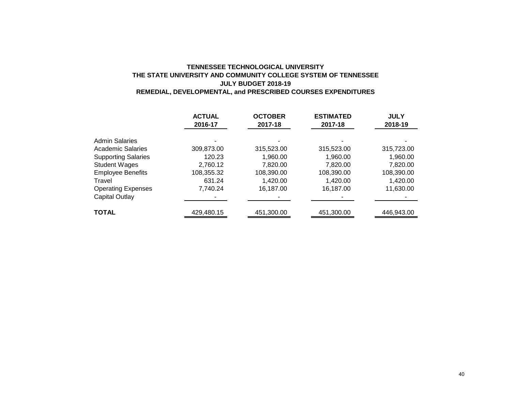## **TENNESSEE TECHNOLOGICAL UNIVERSITY THE STATE UNIVERSITY AND COMMUNITY COLLEGE SYSTEM OF TENNESSEE JULY BUDGET 2018-19 REMEDIAL, DEVELOPMENTAL, and PRESCRIBED COURSES EXPENDITURES**

|                            | <b>ACTUAL</b> | <b>OCTOBER</b> | <b>ESTIMATED</b> | <b>JULY</b> |
|----------------------------|---------------|----------------|------------------|-------------|
|                            | 2016-17       | 2017-18        | 2017-18          | 2018-19     |
| <b>Admin Salaries</b>      |               |                |                  |             |
| <b>Academic Salaries</b>   | 309,873.00    | 315,523.00     | 315,523.00       | 315,723.00  |
| <b>Supporting Salaries</b> | 120.23        | 1,960.00       | 1,960.00         | 1,960.00    |
| <b>Student Wages</b>       | 2.760.12      | 7.820.00       | 7.820.00         | 7.820.00    |
| <b>Employee Benefits</b>   | 108,355.32    | 108,390.00     | 108,390.00       | 108,390.00  |
| Travel                     | 631.24        | 1,420.00       | 1.420.00         | 1,420.00    |
| <b>Operating Expenses</b>  | 7.740.24      | 16,187.00      | 16,187.00        | 11,630.00   |
| <b>Capital Outlay</b>      |               |                |                  |             |
| <b>TOTAL</b>               | 429,480.15    | 451,300.00     | 451,300.00       | 446,943.00  |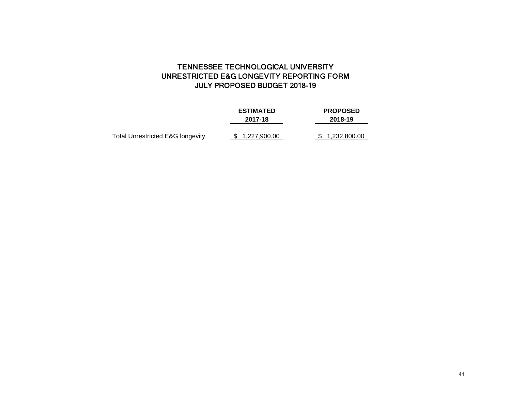# TENNESSEE TECHNOLOGICAL UNIVERSITY UNRESTRICTED E&G LONGEVITY REPORTING FORM JULY PROPOSED BUDGET 2018-19

|                                  | <b>ESTIMATED</b><br>2017-18 | <b>PROPOSED</b><br>2018-19 |  |  |  |
|----------------------------------|-----------------------------|----------------------------|--|--|--|
| Total Unrestricted E&G longevity | \$1,227,900.00              | 1,232,800.00               |  |  |  |